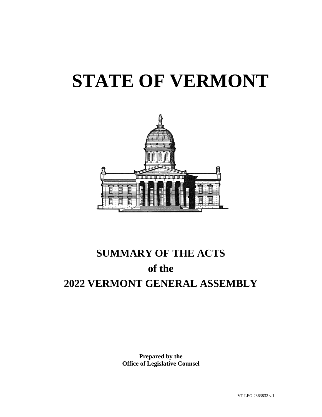# **STATE OF VERMONT**



# **SUMMARY OF THE ACTS of the 2022 VERMONT GENERAL ASSEMBLY**

**Prepared by the Office of Legislative Counsel**

VT LEG #363832 v.1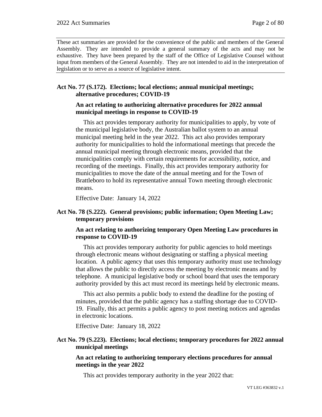These act summaries are provided for the convenience of the public and members of the General Assembly. They are intended to provide a general summary of the acts and may not be exhaustive. They have been prepared by the staff of the Office of Legislative Counsel without input from members of the General Assembly. They are not intended to aid in the interpretation of legislation or to serve as a source of legislative intent.

# **Act No. 77 (S.172). Elections; local elections; annual municipal meetings; alternative procedures; COVID-19**

# **An act relating to authorizing alternative procedures for 2022 annual municipal meetings in response to COVID-19**

This act provides temporary authority for municipalities to apply, by vote of the municipal legislative body, the Australian ballot system to an annual municipal meeting held in the year 2022. This act also provides temporary authority for municipalities to hold the informational meetings that precede the annual municipal meeting through electronic means, provided that the municipalities comply with certain requirements for accessibility, notice, and recording of the meetings. Finally, this act provides temporary authority for municipalities to move the date of the annual meeting and for the Town of Brattleboro to hold its representative annual Town meeting through electronic means.

Effective Date: January 14, 2022

# **Act No. 78 (S.222). General provisions; public information; Open Meeting Law; temporary provisions**

# **An act relating to authorizing temporary Open Meeting Law procedures in response to COVID-19**

This act provides temporary authority for public agencies to hold meetings through electronic means without designating or staffing a physical meeting location. A public agency that uses this temporary authority must use technology that allows the public to directly access the meeting by electronic means and by telephone. A municipal legislative body or school board that uses the temporary authority provided by this act must record its meetings held by electronic means.

This act also permits a public body to extend the deadline for the posting of minutes, provided that the public agency has a staffing shortage due to COVID-19. Finally, this act permits a public agency to post meeting notices and agendas in electronic locations.

Effective Date: January 18, 2022

# **Act No. 79 (S.223). Elections; local elections; temporary procedures for 2022 annual municipal meetings**

#### **An act relating to authorizing temporary elections procedures for annual meetings in the year 2022**

This act provides temporary authority in the year 2022 that: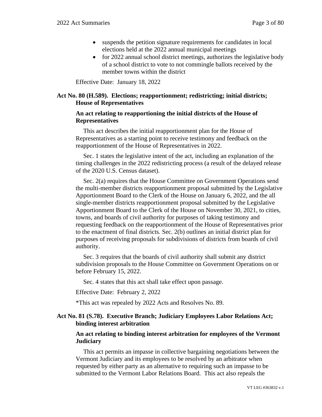- suspends the petition signature requirements for candidates in local elections held at the 2022 annual municipal meetings
- for 2022 annual school district meetings, authorizes the legislative body of a school district to vote to not commingle ballots received by the member towns within the district

Effective Date: January 18, 2022

# **Act No. 80 (H.589). Elections; reapportionment; redistricting; initial districts; House of Representatives**

# **An act relating to reapportioning the initial districts of the House of Representatives**

This act describes the initial reapportionment plan for the House of Representatives as a starting point to receive testimony and feedback on the reapportionment of the House of Representatives in 2022.

Sec. 1 states the legislative intent of the act, including an explanation of the timing challenges in the 2022 redistricting process (a result of the delayed release of the 2020 U.S. Census dataset).

Sec. 2(a) requires that the House Committee on Government Operations send the multi-member districts reapportionment proposal submitted by the Legislative Apportionment Board to the Clerk of the House on January 6, 2022, and the all single-member districts reapportionment proposal submitted by the Legislative Apportionment Board to the Clerk of the House on November 30, 2021, to cities, towns, and boards of civil authority for purposes of taking testimony and requesting feedback on the reapportionment of the House of Representatives prior to the enactment of final districts. Sec. 2(b) outlines an initial district plan for purposes of receiving proposals for subdivisions of districts from boards of civil authority.

Sec. 3 requires that the boards of civil authority shall submit any district subdivision proposals to the House Committee on Government Operations on or before February 15, 2022.

Sec. 4 states that this act shall take effect upon passage.

Effective Date: February 2, 2022

\*This act was repealed by 2022 Acts and Resolves No. 89.

# **Act No. 81 (S.78). Executive Branch; Judiciary Employees Labor Relations Act; binding interest arbitration**

#### **An act relating to binding interest arbitration for employees of the Vermont Judiciary**

This act permits an impasse in collective bargaining negotiations between the Vermont Judiciary and its employees to be resolved by an arbitrator when requested by either party as an alternative to requiring such an impasse to be submitted to the Vermont Labor Relations Board. This act also repeals the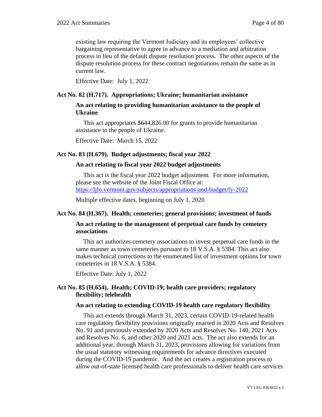existing law requiring the Vermont Judiciary and its employees' collective bargaining representative to agree in advance to a mediation and arbitration process in lieu of the default dispute resolution process. The other aspects of the dispute resolution process for these contract negotiations remain the same as in current law.

Effective Date: July 1, 2022

#### **Act No. 82 (H.717). Appropriations; Ukraine; humanitarian assistance**

# **An act relating to providing humanitarian assistance to the people of Ukraine**

This act appropriates \$644,826.00 for grants to provide humanitarian assistance to the people of Ukraine.

Effective Date: March 15, 2022

#### **Act No. 83 (H.679). Budget adjustments; fiscal year 2022**

#### **An act relating to fiscal year 2022 budget adjustments**

This act is the fiscal year 2022 budget adjustment. For more information, please see the website of the Joint Fiscal Office at: <https://ljfo.vermont.gov/subjects/appropriations-and-budget/fy-2022>

Multiple effective dates, beginning on July 1, 2020

#### **Act No. 84 (H.367). Health; cemeteries; general provisions; investment of funds**

# **An act relating to the management of perpetual care funds by cemetery associations**

This act authorizes cemetery associations to invest perpetual care funds in the same manner as town cemeteries pursuant to 18 V.S.A. § 5384. This act also makes technical corrections to the enumerated list of investment options for town cemeteries in 18 V.S.A. § 5384.

Effective Date: July 1, 2022

# **Act No. 85 (H.654). Health; COVID-19; health care providers; regulatory flexibility; telehealth**

# **An act relating to extending COVID-19 health care regulatory flexibility**

This act extends through March 31, 2023, certain COVID-19-related health care regulatory flexibility provisions originally enacted in 2020 Acts and Resolves No. 91 and previously extended by 2020 Acts and Resolves No. 140, 2021 Acts and Resolves No. 6, and other 2020 and 2021 acts. The act also extends for an additional year, through March 31, 2023, provisions allowing for variations from the usual statutory witnessing requirements for advance directives executed during the COVID-19 pandemic. And the act creates a registration process to allow out-of-state licensed health care professionals to deliver health care services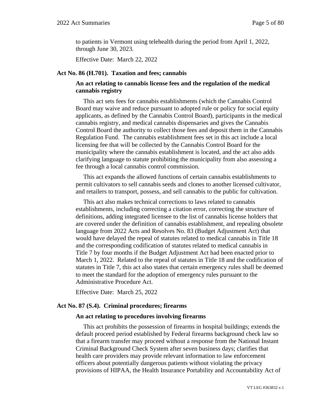to patients in Vermont using telehealth during the period from April 1, 2022, through June 30, 2023.

Effective Date: March 22, 2022

#### **Act No. 86 (H.701). Taxation and fees; cannabis**

# **An act relating to cannabis license fees and the regulation of the medical cannabis registry**

This act sets fees for cannabis establishments (which the Cannabis Control Board may waive and reduce pursuant to adopted rule or policy for social equity applicants, as defined by the Cannabis Control Board), participants in the medical cannabis registry, and medical cannabis dispensaries and gives the Cannabis Control Board the authority to collect those fees and deposit them in the Cannabis Regulation Fund. The cannabis establishment fees set in this act include a local licensing fee that will be collected by the Cannabis Control Board for the municipality where the cannabis establishment is located, and the act also adds clarifying language to statute prohibiting the municipality from also assessing a fee through a local cannabis control commission.

This act expands the allowed functions of certain cannabis establishments to permit cultivators to sell cannabis seeds and clones to another licensed cultivator, and retailers to transport, possess, and sell cannabis to the public for cultivation.

This act also makes technical corrections to laws related to cannabis establishments, including correcting a citation error, correcting the structure of definitions, adding integrated licensee to the list of cannabis license holders that are covered under the definition of cannabis establishment, and repealing obsolete language from 2022 Acts and Resolves No. 83 (Budget Adjustment Act) that would have delayed the repeal of statutes related to medical cannabis in Title 18 and the corresponding codification of statutes related to medical cannabis in Title 7 by four months if the Budget Adjustment Act had been enacted prior to March 1, 2022. Related to the repeal of statutes in Title 18 and the codification of statutes in Title 7, this act also states that certain emergency rules shall be deemed to meet the standard for the adoption of emergency rules pursuant to the Administrative Procedure Act.

Effective Date: March 25, 2022

#### **Act No. 87 (S.4). Criminal procedures; firearms**

#### **An act relating to procedures involving firearms**

This act prohibits the possession of firearms in hospital buildings; extends the default proceed period established by Federal firearms background check law so that a firearm transfer may proceed without a response from the National Instant Criminal Background Check System after seven business days; clarifies that health care providers may provide relevant information to law enforcement officers about potentially dangerous patients without violating the privacy provisions of HIPAA, the Health Insurance Portability and Accountability Act of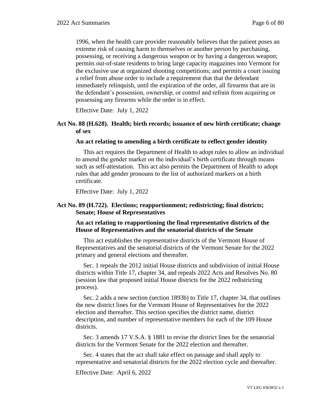1996, when the health care provider reasonably believes that the patient poses an extreme risk of causing harm to themselves or another person by purchasing, possessing, or receiving a dangerous weapon or by having a dangerous weapon; permits out-of-state residents to bring large capacity magazines into Vermont for the exclusive use at organized shooting competitions; and permits a court issuing a relief from abuse order to include a requirement that that the defendant immediately relinquish, until the expiration of the order, all firearms that are in the defendant's possession, ownership, or control and refrain from acquiring or possessing any firearms while the order is in effect.

Effective Date: July 1, 2022

#### **Act No. 88 (H.628). Health; birth records; issuance of new birth certificate; change of sex**

#### **An act relating to amending a birth certificate to reflect gender identity**

This act requires the Department of Health to adopt rules to allow an individual to amend the gender marker on the individual's birth certificate through means such as self-attestation. This act also permits the Department of Health to adopt rules that add gender pronouns to the list of authorized markers on a birth certificate.

Effective Date: July 1, 2022

# **Act No. 89 (H.722). Elections; reapportionment; redistricting; final districts; Senate; House of Representatives**

# **An act relating to reapportioning the final representative districts of the House of Representatives and the senatorial districts of the Senate**

This act establishes the representative districts of the Vermont House of Representatives and the senatorial districts of the Vermont Senate for the 2022 primary and general elections and thereafter.

Sec. 1 repeals the 2012 initial House districts and subdivision of initial House districts within Title 17, chapter 34, and repeals 2022 Acts and Resolves No. 80 (session law that proposed initial House districts for the 2022 redistricting process).

Sec. 2 adds a new section (section 1893b) to Title 17, chapter 34, that outlines the new district lines for the Vermont House of Representatives for the 2022 election and thereafter. This section specifies the district name, district description, and number of representative members for each of the 109 House districts.

Sec. 3 amends 17 V.S.A. § 1881 to revise the district lines for the senatorial districts for the Vermont Senate for the 2022 election and thereafter.

Sec. 4 states that the act shall take effect on passage and shall apply to representative and senatorial districts for the 2022 election cycle and thereafter.

Effective Date: April 6, 2022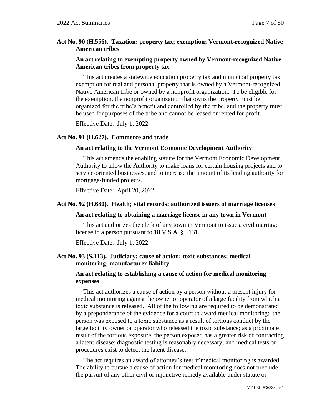# **Act No. 90 (H.556). Taxation; property tax; exemption; Vermont-recognized Native American tribes**

# **An act relating to exempting property owned by Vermont-recognized Native American tribes from property tax**

This act creates a statewide education property tax and municipal property tax exemption for real and personal property that is owned by a Vermont-recognized Native American tribe or owned by a nonprofit organization. To be eligible for the exemption, the nonprofit organization that owns the property must be organized for the tribe's benefit and controlled by the tribe, and the property must be used for purposes of the tribe and cannot be leased or rented for profit.

Effective Date: July 1, 2022

#### **Act No. 91 (H.627). Commerce and trade**

# **An act relating to the Vermont Economic Development Authority**

This act amends the enabling statute for the Vermont Economic Development Authority to allow the Authority to make loans for certain housing projects and to service-oriented businesses, and to increase the amount of its lending authority for mortgage-funded projects.

Effective Date: April 20, 2022

#### **Act No. 92 (H.680). Health; vital records; authorized issuers of marriage licenses**

#### **An act relating to obtaining a marriage license in any town in Vermont**

This act authorizes the clerk of any town in Vermont to issue a civil marriage license to a person pursuant to 18 V.S.A. § 5131.

Effective Date: July 1, 2022

# **Act No. 93 (S.113). Judiciary; cause of action; toxic substances; medical monitoring; manufacturer liability**

# **An act relating to establishing a cause of action for medical monitoring expenses**

This act authorizes a cause of action by a person without a present injury for medical monitoring against the owner or operator of a large facility from which a toxic substance is released. All of the following are required to be demonstrated by a preponderance of the evidence for a court to award medical monitoring: the person was exposed to a toxic substance as a result of tortious conduct by the large facility owner or operator who released the toxic substance; as a proximate result of the tortious exposure, the person exposed has a greater risk of contracting a latent disease; diagnostic testing is reasonably necessary; and medical tests or procedures exist to detect the latent disease.

The act requires an award of attorney's fees if medical monitoring is awarded. The ability to pursue a cause of action for medical monitoring does not preclude the pursuit of any other civil or injunctive remedy available under statute or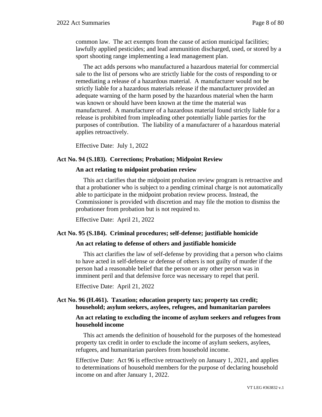common law. The act exempts from the cause of action municipal facilities; lawfully applied pesticides; and lead ammunition discharged, used, or stored by a sport shooting range implementing a lead management plan.

The act adds persons who manufactured a hazardous material for commercial sale to the list of persons who are strictly liable for the costs of responding to or remediating a release of a hazardous material. A manufacturer would not be strictly liable for a hazardous materials release if the manufacturer provided an adequate warning of the harm posed by the hazardous material when the harm was known or should have been known at the time the material was manufactured. A manufacturer of a hazardous material found strictly liable for a release is prohibited from impleading other potentially liable parties for the purposes of contribution. The liability of a manufacturer of a hazardous material applies retroactively.

Effective Date: July 1, 2022

# **Act No. 94 (S.183). Corrections; Probation; Midpoint Review**

#### **An act relating to midpoint probation review**

This act clarifies that the midpoint probation review program is retroactive and that a probationer who is subject to a pending criminal charge is not automatically able to participate in the midpoint probation review process. Instead, the Commissioner is provided with discretion and may file the motion to dismiss the probationer from probation but is not required to.

Effective Date: April 21, 2022

#### **Act No. 95 (S.184). Criminal procedures; self-defense; justifiable homicide**

#### **An act relating to defense of others and justifiable homicide**

This act clarifies the law of self-defense by providing that a person who claims to have acted in self-defense or defense of others is not guilty of murder if the person had a reasonable belief that the person or any other person was in imminent peril and that defensive force was necessary to repel that peril.

Effective Date: April 21, 2022

#### **Act No. 96 (H.461). Taxation; education property tax; property tax credit; household; asylum seekers, asylees, refugees, and humanitarian parolees**

#### **An act relating to excluding the income of asylum seekers and refugees from household income**

This act amends the definition of household for the purposes of the homestead property tax credit in order to exclude the income of asylum seekers, asylees, refugees, and humanitarian parolees from household income.

Effective Date: Act 96 is effective retroactively on January 1, 2021, and applies to determinations of household members for the purpose of declaring household income on and after January 1, 2022.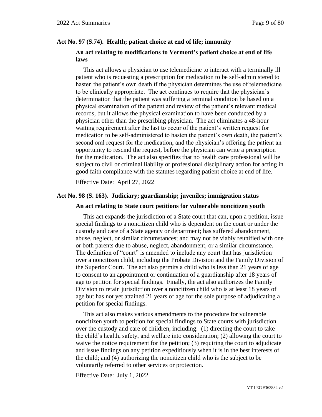#### **Act No. 97 (S.74). Health; patient choice at end of life; immunity**

# **An act relating to modifications to Vermont's patient choice at end of life laws**

This act allows a physician to use telemedicine to interact with a terminally ill patient who is requesting a prescription for medication to be self-administered to hasten the patient's own death if the physician determines the use of telemedicine to be clinically appropriate. The act continues to require that the physician's determination that the patient was suffering a terminal condition be based on a physical examination of the patient and review of the patient's relevant medical records, but it allows the physical examination to have been conducted by a physician other than the prescribing physician. The act eliminates a 48-hour waiting requirement after the last to occur of the patient's written request for medication to be self-administered to hasten the patient's own death, the patient's second oral request for the medication, and the physician's offering the patient an opportunity to rescind the request, before the physician can write a prescription for the medication. The act also specifies that no health care professional will be subject to civil or criminal liability or professional disciplinary action for acting in good faith compliance with the statutes regarding patient choice at end of life.

Effective Date: April 27, 2022

#### **Act No. 98 (S. 163). Judiciary; guardianship; juveniles; immigration status**

#### **An act relating to State court petitions for vulnerable noncitizen youth**

This act expands the jurisdiction of a State court that can, upon a petition, issue special findings to a noncitizen child who is dependent on the court or under the custody and care of a State agency or department; has suffered abandonment, abuse, neglect, or similar circumstances; and may not be viably reunified with one or both parents due to abuse, neglect, abandonment, or a similar circumstance. The definition of "court" is amended to include any court that has jurisdiction over a noncitizen child, including the Probate Division and the Family Division of the Superior Court. The act also permits a child who is less than 21 years of age to consent to an appointment or continuation of a guardianship after 18 years of age to petition for special findings. Finally, the act also authorizes the Family Division to retain jurisdiction over a noncitizen child who is at least 18 years of age but has not yet attained 21 years of age for the sole purpose of adjudicating a petition for special findings.

This act also makes various amendments to the procedure for vulnerable noncitizen youth to petition for special findings to State courts with jurisdiction over the custody and care of children, including: (1) directing the court to take the child's health, safety, and welfare into consideration; (2) allowing the court to waive the notice requirement for the petition; (3) requiring the court to adjudicate and issue findings on any petition expeditiously when it is in the best interests of the child; and (4) authorizing the noncitizen child who is the subject to be voluntarily referred to other services or protection.

Effective Date: July 1, 2022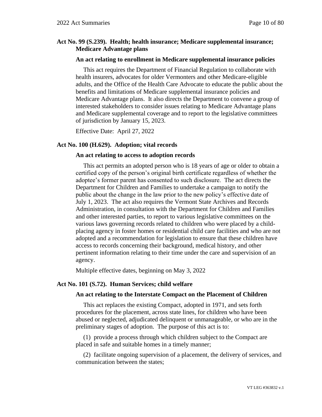# **Act No. 99 (S.239). Health; health insurance; Medicare supplemental insurance; Medicare Advantage plans**

#### **An act relating to enrollment in Medicare supplemental insurance policies**

This act requires the Department of Financial Regulation to collaborate with health insurers, advocates for older Vermonters and other Medicare-eligible adults, and the Office of the Health Care Advocate to educate the public about the benefits and limitations of Medicare supplemental insurance policies and Medicare Advantage plans. It also directs the Department to convene a group of interested stakeholders to consider issues relating to Medicare Advantage plans and Medicare supplemental coverage and to report to the legislative committees of jurisdiction by January 15, 2023.

Effective Date: April 27, 2022

#### **Act No. 100 (H.629). Adoption; vital records**

#### **An act relating to access to adoption records**

This act permits an adopted person who is 18 years of age or older to obtain a certified copy of the person's original birth certificate regardless of whether the adoptee's former parent has consented to such disclosure. The act directs the Department for Children and Families to undertake a campaign to notify the public about the change in the law prior to the new policy's effective date of July 1, 2023. The act also requires the Vermont State Archives and Records Administration, in consultation with the Department for Children and Families and other interested parties, to report to various legislative committees on the various laws governing records related to children who were placed by a childplacing agency in foster homes or residential child care facilities and who are not adopted and a recommendation for legislation to ensure that these children have access to records concerning their background, medical history, and other pertinent information relating to their time under the care and supervision of an agency.

Multiple effective dates, beginning on May 3, 2022

#### **Act No. 101 (S.72). Human Services; child welfare**

#### **An act relating to the Interstate Compact on the Placement of Children**

This act replaces the existing Compact, adopted in 1971, and sets forth procedures for the placement, across state lines, for children who have been abused or neglected, adjudicated delinquent or unmanageable, or who are in the preliminary stages of adoption. The purpose of this act is to:

(1) provide a process through which children subject to the Compact are placed in safe and suitable homes in a timely manner;

(2) facilitate ongoing supervision of a placement, the delivery of services, and communication between the states;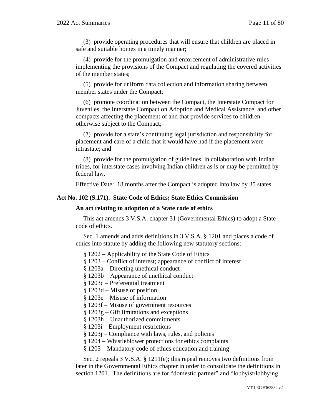(3) provide operating procedures that will ensure that children are placed in safe and suitable homes in a timely manner;

(4) provide for the promulgation and enforcement of administrative rules implementing the provisions of the Compact and regulating the covered activities of the member states;

(5) provide for uniform data collection and information sharing between member states under the Compact;

(6) promote coordination between the Compact, the Interstate Compact for Juveniles, the Interstate Compact on Adoption and Medical Assistance, and other compacts affecting the placement of and that provide services to children otherwise subject to the Compact;

(7) provide for a state's continuing legal jurisdiction and responsibility for placement and care of a child that it would have had if the placement were intrastate; and

(8) provide for the promulgation of guidelines, in collaboration with Indian tribes, for interstate cases involving Indian children as is or may be permitted by federal law.

Effective Date: 18 months after the Compact is adopted into law by 35 states

#### **Act No. 102 (S.171). State Code of Ethics; State Ethics Commission**

#### **An act relating to adoption of a State code of ethics**

This act amends 3 V.S.A. chapter 31 (Governmental Ethics) to adopt a State code of ethics.

Sec. 1 amends and adds definitions in 3 V.S.A. § 1201 and places a code of ethics into statute by adding the following new statutory sections:

- § 1202 Applicability of the State Code of Ethics
- § 1203 Conflict of interest; appearance of conflict of interest
- § 1203a Directing unethical conduct
- § 1203b Appearance of unethical conduct
- § 1203c Preferential treatment
- § 1203d Misuse of position
- § 1203e Misuse of information
- § 1203f Misuse of government resources
- § 1203g Gift limitations and exceptions
- § 1203h Unauthorized commitments
- § 1203i Employment restrictions
- § 1203j Compliance with laws, rules, and policies
- § 1204 Whistleblower protections for ethics complaints
- § 1205 Mandatory code of ethics education and training

Sec. 2 repeals 3 V.S.A. § 1211(e); this repeal removes two definitions from later in the Governmental Ethics chapter in order to consolidate the definitions in section 1201. The definitions are for "domestic partner" and "lobbyist/lobbying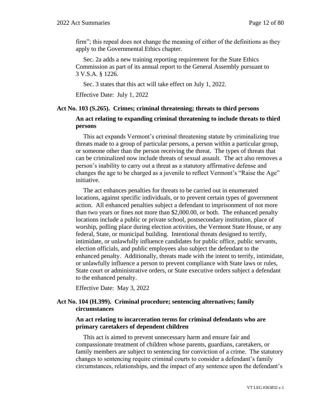firm"; this repeal does not change the meaning of either of the definitions as they apply to the Governmental Ethics chapter.

Sec. 2a adds a new training reporting requirement for the State Ethics Commission as part of its annual report to the General Assembly pursuant to 3 V.S.A. § 1226.

Sec. 3 states that this act will take effect on July 1, 2022.

Effective Date: July 1, 2022

#### **Act No. 103 (S.265). Crimes; criminal threatening; threats to third persons**

# **An act relating to expanding criminal threatening to include threats to third persons**

This act expands Vermont's criminal threatening statute by criminalizing true threats made to a group of particular persons, a person within a particular group, or someone other than the person receiving the threat. The types of threats that can be criminalized now include threats of sexual assault. The act also removes a person's inability to carry out a threat as a statutory affirmative defense and changes the age to be charged as a juvenile to reflect Vermont's "Raise the Age" initiative.

The act enhances penalties for threats to be carried out in enumerated locations, against specific individuals, or to prevent certain types of government action. All enhanced penalties subject a defendant to imprisonment of not more than two years or fines not more than \$2,000.00, or both. The enhanced penalty locations include a public or private school, postsecondary institution, place of worship, polling place during election activities, the Vermont State House, or any federal, State, or municipal building. Intentional threats designed to terrify, intimidate, or unlawfully influence candidates for public office, public servants, election officials, and public employees also subject the defendant to the enhanced penalty. Additionally, threats made with the intent to terrify, intimidate, or unlawfully influence a person to prevent compliance with State laws or rules, State court or administrative orders, or State executive orders subject a defendant to the enhanced penalty.

Effective Date: May 3, 2022

# **Act No. 104 (H.399). Criminal procedure; sentencing alternatives; family circumstances**

# **An act relating to incarceration terms for criminal defendants who are primary caretakers of dependent children**

This act is aimed to prevent unnecessary harm and ensure fair and compassionate treatment of children whose parents, guardians, caretakers, or family members are subject to sentencing for conviction of a crime. The statutory changes to sentencing require criminal courts to consider a defendant's family circumstances, relationships, and the impact of any sentence upon the defendant's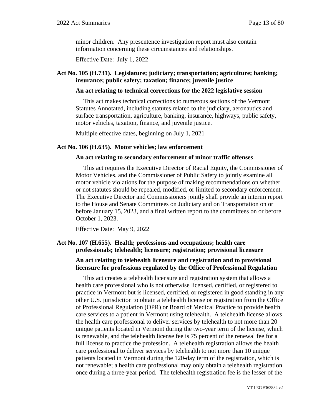minor children. Any presentence investigation report must also contain information concerning these circumstances and relationships.

Effective Date: July 1, 2022

# **Act No. 105 (H.731). Legislature; judiciary; transportation; agriculture; banking; insurance; public safety; taxation; finance; juvenile justice**

#### **An act relating to technical corrections for the 2022 legislative session**

This act makes technical corrections to numerous sections of the Vermont Statutes Annotated, including statutes related to the judiciary, aeronautics and surface transportation, agriculture, banking, insurance, highways, public safety, motor vehicles, taxation, finance, and juvenile justice.

Multiple effective dates, beginning on July 1, 2021

#### **Act No. 106 (H.635). Motor vehicles; law enforcement**

#### **An act relating to secondary enforcement of minor traffic offenses**

This act requires the Executive Director of Racial Equity, the Commissioner of Motor Vehicles, and the Commissioner of Public Safety to jointly examine all motor vehicle violations for the purpose of making recommendations on whether or not statutes should be repealed, modified, or limited to secondary enforcement. The Executive Director and Commissioners jointly shall provide an interim report to the House and Senate Committees on Judiciary and on Transportation on or before January 15, 2023, and a final written report to the committees on or before October 1, 2023.

Effective Date: May 9, 2022

#### **Act No. 107 (H.655). Health; professions and occupations; health care professionals; telehealth; licensure; registration; provisional licensure**

# **An act relating to telehealth licensure and registration and to provisional licensure for professions regulated by the Office of Professional Regulation**

This act creates a telehealth licensure and registration system that allows a health care professional who is not otherwise licensed, certified, or registered to practice in Vermont but is licensed, certified, or registered in good standing in any other U.S. jurisdiction to obtain a telehealth license or registration from the Office of Professional Regulation (OPR) or Board of Medical Practice to provide health care services to a patient in Vermont using telehealth. A telehealth license allows the health care professional to deliver services by telehealth to not more than 20 unique patients located in Vermont during the two-year term of the license, which is renewable, and the telehealth license fee is 75 percent of the renewal fee for a full license to practice the profession. A telehealth registration allows the health care professional to deliver services by telehealth to not more than 10 unique patients located in Vermont during the 120-day term of the registration, which is not renewable; a health care professional may only obtain a telehealth registration once during a three-year period. The telehealth registration fee is the lesser of the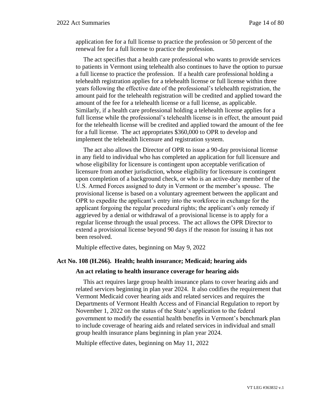application fee for a full license to practice the profession or 50 percent of the renewal fee for a full license to practice the profession.

The act specifies that a health care professional who wants to provide services to patients in Vermont using telehealth also continues to have the option to pursue a full license to practice the profession. If a health care professional holding a telehealth registration applies for a telehealth license or full license within three years following the effective date of the professional's telehealth registration, the amount paid for the telehealth registration will be credited and applied toward the amount of the fee for a telehealth license or a full license, as applicable. Similarly, if a health care professional holding a telehealth license applies for a full license while the professional's telehealth license is in effect, the amount paid for the telehealth license will be credited and applied toward the amount of the fee for a full license. The act appropriates \$360,000 to OPR to develop and implement the telehealth licensure and registration system.

The act also allows the Director of OPR to issue a 90-day provisional license in any field to individual who has completed an application for full licensure and whose eligibility for licensure is contingent upon acceptable verification of licensure from another jurisdiction, whose eligibility for licensure is contingent upon completion of a background check, or who is an active-duty member of the U.S. Armed Forces assigned to duty in Vermont or the member's spouse. The provisional license is based on a voluntary agreement between the applicant and OPR to expedite the applicant's entry into the workforce in exchange for the applicant forgoing the regular procedural rights; the applicant's only remedy if aggrieved by a denial or withdrawal of a provisional license is to apply for a regular license through the usual process. The act allows the OPR Director to extend a provisional license beyond 90 days if the reason for issuing it has not been resolved.

Multiple effective dates, beginning on May 9, 2022

#### **Act No. 108 (H.266). Health; health insurance; Medicaid; hearing aids**

#### **An act relating to health insurance coverage for hearing aids**

This act requires large group health insurance plans to cover hearing aids and related services beginning in plan year 2024. It also codifies the requirement that Vermont Medicaid cover hearing aids and related services and requires the Departments of Vermont Health Access and of Financial Regulation to report by November 1, 2022 on the status of the State's application to the federal government to modify the essential health benefits in Vermont's benchmark plan to include coverage of hearing aids and related services in individual and small group health insurance plans beginning in plan year 2024.

Multiple effective dates, beginning on May 11, 2022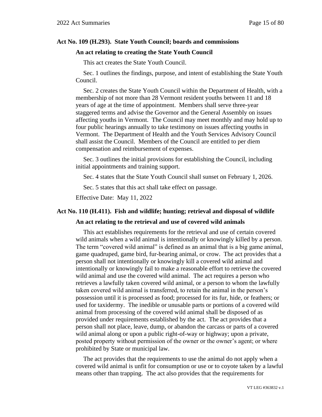#### **Act No. 109 (H.293). State Youth Council; boards and commissions**

#### **An act relating to creating the State Youth Council**

This act creates the State Youth Council.

Sec. 1 outlines the findings, purpose, and intent of establishing the State Youth Council.

Sec. 2 creates the State Youth Council within the Department of Health, with a membership of not more than 28 Vermont resident youths between 11 and 18 years of age at the time of appointment. Members shall serve three-year staggered terms and advise the Governor and the General Assembly on issues affecting youths in Vermont. The Council may meet monthly and may hold up to four public hearings annually to take testimony on issues affecting youths in Vermont. The Department of Health and the Youth Services Advisory Council shall assist the Council. Members of the Council are entitled to per diem compensation and reimbursement of expenses.

Sec. 3 outlines the initial provisions for establishing the Council, including initial appointments and training support.

Sec. 4 states that the State Youth Council shall sunset on February 1, 2026.

Sec. 5 states that this act shall take effect on passage.

Effective Date: May 11, 2022

#### **Act No. 110 (H.411). Fish and wildlife; hunting; retrieval and disposal of wildlife**

#### **An act relating to the retrieval and use of covered wild animals**

This act establishes requirements for the retrieval and use of certain covered wild animals when a wild animal is intentionally or knowingly killed by a person. The term "covered wild animal" is defined as an animal that is a big game animal, game quadruped, game bird, fur-bearing animal, or crow. The act provides that a person shall not intentionally or knowingly kill a covered wild animal and intentionally or knowingly fail to make a reasonable effort to retrieve the covered wild animal and use the covered wild animal. The act requires a person who retrieves a lawfully taken covered wild animal, or a person to whom the lawfully taken covered wild animal is transferred, to retain the animal in the person's possession until it is processed as food; processed for its fur, hide, or feathers; or used for taxidermy. The inedible or unusable parts or portions of a covered wild animal from processing of the covered wild animal shall be disposed of as provided under requirements established by the act. The act provides that a person shall not place, leave, dump, or abandon the carcass or parts of a covered wild animal along or upon a public right-of-way or highway; upon a private, posted property without permission of the owner or the owner's agent; or where prohibited by State or municipal law.

The act provides that the requirements to use the animal do not apply when a covered wild animal is unfit for consumption or use or to coyote taken by a lawful means other than trapping. The act also provides that the requirements for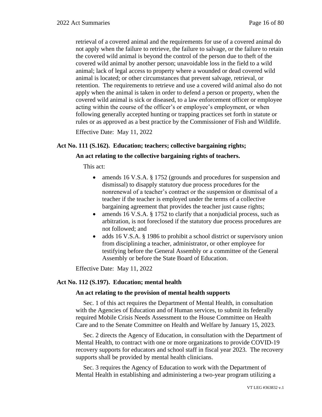retrieval of a covered animal and the requirements for use of a covered animal do not apply when the failure to retrieve, the failure to salvage, or the failure to retain the covered wild animal is beyond the control of the person due to theft of the covered wild animal by another person; unavoidable loss in the field to a wild animal; lack of legal access to property where a wounded or dead covered wild animal is located; or other circumstances that prevent salvage, retrieval, or retention. The requirements to retrieve and use a covered wild animal also do not apply when the animal is taken in order to defend a person or property, when the covered wild animal is sick or diseased, to a law enforcement officer or employee acting within the course of the officer's or employee's employment, or when following generally accepted hunting or trapping practices set forth in statute or rules or as approved as a best practice by the Commissioner of Fish and Wildlife.

Effective Date: May 11, 2022

# **Act No. 111 (S.162). Education; teachers; collective bargaining rights;**

# **An act relating to the collective bargaining rights of teachers.**

This act:

- amends 16 V.S.A. § 1752 (grounds and procedures for suspension and dismissal) to disapply statutory due process procedures for the nonrenewal of a teacher's contract or the suspension or dismissal of a teacher if the teacher is employed under the terms of a collective bargaining agreement that provides the teacher just cause rights;
- amends 16 V.S.A. § 1752 to clarify that a nonjudicial process, such as arbitration, is not foreclosed if the statutory due process procedures are not followed; and
- adds 16 V.S.A. § 1986 to prohibit a school district or supervisory union from disciplining a teacher, administrator, or other employee for testifying before the General Assembly or a committee of the General Assembly or before the State Board of Education.

Effective Date: May 11, 2022

# **Act No. 112 (S.197). Education; mental health**

# **An act relating to the provision of mental health supports**

Sec. 1 of this act requires the Department of Mental Health, in consultation with the Agencies of Education and of Human services, to submit its federally required Mobile Crisis Needs Assessment to the House Committee on Health Care and to the Senate Committee on Health and Welfare by January 15, 2023.

Sec. 2 directs the Agency of Education, in consultation with the Department of Mental Health, to contract with one or more organizations to provide COVID-19 recovery supports for educators and school staff in fiscal year 2023. The recovery supports shall be provided by mental health clinicians.

Sec. 3 requires the Agency of Education to work with the Department of Mental Health in establishing and administering a two-year program utilizing a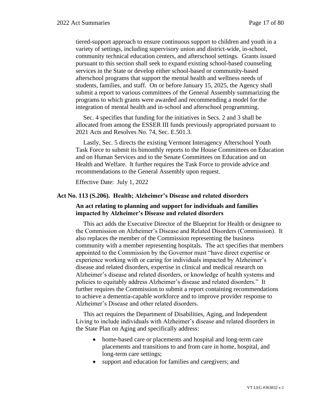tiered-support approach to ensure continuous support to children and youth in a variety of settings, including supervisory union and district-wide, in-school, community technical education centers, and afterschool settings. Grants issued pursuant to this section shall seek to expand existing school-based counseling services in the State or develop either school-based or community-based afterschool programs that support the mental health and wellness needs of students, families, and staff. On or before January 15, 2025, the Agency shall submit a report to various committees of the General Assembly summarizing the programs to which grants were awarded and recommending a model for the integration of mental health and in-school and afterschool programming.

Sec. 4 specifies that funding for the initiatives in Secs. 2 and 3 shall be allocated from among the ESSER III funds previously appropriated pursuant to 2021 Acts and Resolves No. 74, Sec. E.501.3.

Lastly, Sec. 5 directs the existing Vermont Interagency Afterschool Youth Task Force to submit its bimonthly reports to the House Committees on Education and on Human Services and to the Senate Committees on Education and on Health and Welfare. It further requires the Task Force to provide advice and recommendations to the General Assembly upon request.

Effective Date: July 1, 2022

#### **Act No. 113 (S.206). Health; Alzheimer's Disease and related disorders**

#### **An act relating to planning and support for individuals and families impacted by Alzheimer's Disease and related disorders**

This act adds the Executive Director of the Blueprint for Health or designee to the Commission on Alzheimer's Disease and Related Disorders (Commission). It also replaces the member of the Commission representing the business community with a member representing hospitals. The act specifies that members appointed to the Commission by the Governor must "have direct expertise or experience working with or caring for individuals impacted by Alzheimer's disease and related disorders, expertise in clinical and medical research on Alzheimer's disease and related disorders, or knowledge of health systems and policies to equitably address Alzheimer's disease and related disorders." It further requires the Commission to submit a report containing recommendations to achieve a dementia-capable workforce and to improve provider response to Alzheimer's Disease and other related disorders.

This act requires the Department of Disabilities, Aging, and Independent Living to include individuals with Alzheimer's disease and related disorders in the State Plan on Aging and specifically address:

- home-based care or placements and hospital and long-term care placements and transitions to and from care in home, hospital, and long-term care settings;
- support and education for families and caregivers; and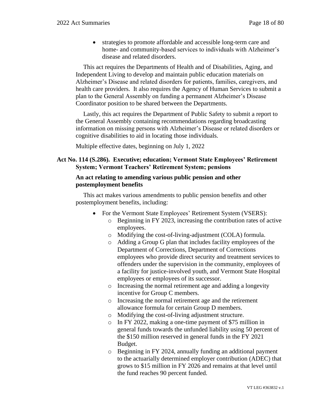• strategies to promote affordable and accessible long-term care and home- and community-based services to individuals with Alzheimer's disease and related disorders.

This act requires the Departments of Health and of Disabilities, Aging, and Independent Living to develop and maintain public education materials on Alzheimer's Disease and related disorders for patients, families, caregivers, and health care providers. It also requires the Agency of Human Services to submit a plan to the General Assembly on funding a permanent Alzheimer's Disease Coordinator position to be shared between the Departments.

Lastly, this act requires the Department of Public Safety to submit a report to the General Assembly containing recommendations regarding broadcasting information on missing persons with Alzheimer's Disease or related disorders or cognitive disabilities to aid in locating those individuals.

Multiple effective dates, beginning on July 1, 2022

# **Act No. 114 (S.286). Executive; education; Vermont State Employees' Retirement System; Vermont Teachers' Retirement System; pensions**

# **An act relating to amending various public pension and other postemployment benefits**

This act makes various amendments to public pension benefits and other postemployment benefits, including:

- For the Vermont State Employees' Retirement System (VSERS):
	- o Beginning in FY 2023, increasing the contribution rates of active employees.
	- o Modifying the cost-of-living-adjustment (COLA) formula.
	- o Adding a Group G plan that includes facility employees of the Department of Corrections, Department of Corrections employees who provide direct security and treatment services to offenders under the supervision in the community, employees of a facility for justice-involved youth, and Vermont State Hospital employees or employees of its successor.
	- o Increasing the normal retirement age and adding a longevity incentive for Group C members.
	- o Increasing the normal retirement age and the retirement allowance formula for certain Group D members.
	- o Modifying the cost-of-living adjustment structure.
	- o In FY 2022, making a one-time payment of \$75 million in general funds towards the unfunded liability using 50 percent of the \$150 million reserved in general funds in the FY 2021 Budget.
	- o Beginning in FY 2024, annually funding an additional payment to the actuarially determined employer contribution (ADEC) that grows to \$15 million in FY 2026 and remains at that level until the fund reaches 90 percent funded.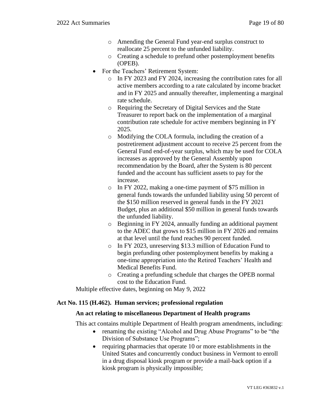- o Amending the General Fund year-end surplus construct to reallocate 25 percent to the unfunded liability.
- o Creating a schedule to prefund other postemployment benefits (OPEB).
- For the Teachers' Retirement System:
	- o In FY 2023 and FY 2024, increasing the contribution rates for all active members according to a rate calculated by income bracket and in FY 2025 and annually thereafter, implementing a marginal rate schedule.
	- o Requiring the Secretary of Digital Services and the State Treasurer to report back on the implementation of a marginal contribution rate schedule for active members beginning in FY 2025.
	- o Modifying the COLA formula, including the creation of a postretirement adjustment account to receive 25 percent from the General Fund end-of-year surplus, which may be used for COLA increases as approved by the General Assembly upon recommendation by the Board, after the System is 80 percent funded and the account has sufficient assets to pay for the increase.
	- o In FY 2022, making a one-time payment of \$75 million in general funds towards the unfunded liability using 50 percent of the \$150 million reserved in general funds in the FY 2021 Budget, plus an additional \$50 million in general funds towards the unfunded liability.
	- o Beginning in FY 2024, annually funding an additional payment to the ADEC that grows to \$15 million in FY 2026 and remains at that level until the fund reaches 90 percent funded.
	- o In FY 2023, unreserving \$13.3 million of Education Fund to begin prefunding other postemployment benefits by making a one-time appropriation into the Retired Teachers' Health and Medical Benefits Fund.
	- o Creating a prefunding schedule that charges the OPEB normal cost to the Education Fund.

Multiple effective dates, beginning on May 9, 2022

# **Act No. 115 (H.462). Human services; professional regulation**

#### **An act relating to miscellaneous Department of Health programs**

This act contains multiple Department of Health program amendments, including:

- renaming the existing "Alcohol and Drug Abuse Programs" to be "the Division of Substance Use Programs";
- requiring pharmacies that operate 10 or more establishments in the United States and concurrently conduct business in Vermont to enroll in a drug disposal kiosk program or provide a mail-back option if a kiosk program is physically impossible;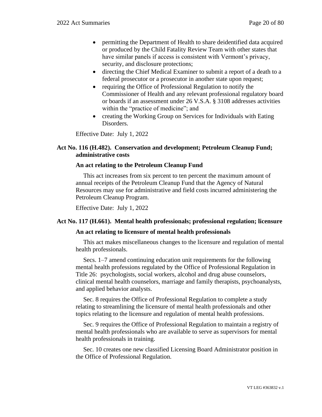- permitting the Department of Health to share deidentified data acquired or produced by the Child Fatality Review Team with other states that have similar panels if access is consistent with Vermont's privacy, security, and disclosure protections;
- directing the Chief Medical Examiner to submit a report of a death to a federal prosecutor or a prosecutor in another state upon request;
- requiring the Office of Professional Regulation to notify the Commissioner of Health and any relevant professional regulatory board or boards if an assessment under 26 V.S.A. § 3108 addresses activities within the "practice of medicine"; and
- creating the Working Group on Services for Individuals with Eating Disorders.

Effective Date: July 1, 2022

# **Act No. 116 (H.482). Conservation and development; Petroleum Cleanup Fund; administrative costs**

#### **An act relating to the Petroleum Cleanup Fund**

This act increases from six percent to ten percent the maximum amount of annual receipts of the Petroleum Cleanup Fund that the Agency of Natural Resources may use for administrative and field costs incurred administering the Petroleum Cleanup Program.

Effective Date: July 1, 2022

#### **Act No. 117 (H.661). Mental health professionals; professional regulation; licensure**

#### **An act relating to licensure of mental health professionals**

This act makes miscellaneous changes to the licensure and regulation of mental health professionals.

Secs. 1–7 amend continuing education unit requirements for the following mental health professions regulated by the Office of Professional Regulation in Title 26: psychologists, social workers, alcohol and drug abuse counselors, clinical mental health counselors, marriage and family therapists, psychoanalysts, and applied behavior analysts.

Sec. 8 requires the Office of Professional Regulation to complete a study relating to streamlining the licensure of mental health professionals and other topics relating to the licensure and regulation of mental health professions.

Sec. 9 requires the Office of Professional Regulation to maintain a registry of mental health professionals who are available to serve as supervisors for mental health professionals in training.

Sec. 10 creates one new classified Licensing Board Administrator position in the Office of Professional Regulation.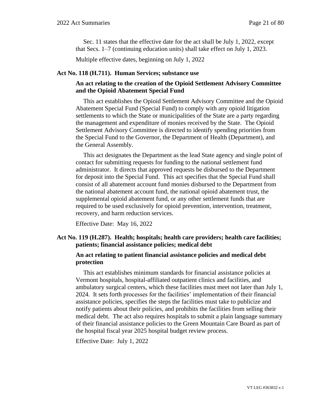Sec. 11 states that the effective date for the act shall be July 1, 2022, except that Secs. 1–7 (continuing education units) shall take effect on July 1, 2023.

Multiple effective dates, beginning on July 1, 2022

#### **Act No. 118 (H.711). Human Services; substance use**

# **An act relating to the creation of the Opioid Settlement Advisory Committee and the Opioid Abatement Special Fund**

This act establishes the Opioid Settlement Advisory Committee and the Opioid Abatement Special Fund (Special Fund) to comply with any opioid litigation settlements to which the State or municipalities of the State are a party regarding the management and expenditure of monies received by the State. The Opioid Settlement Advisory Committee is directed to identify spending priorities from the Special Fund to the Governor, the Department of Health (Department), and the General Assembly.

This act designates the Department as the lead State agency and single point of contact for submitting requests for funding to the national settlement fund administrator. It directs that approved requests be disbursed to the Department for deposit into the Special Fund. This act specifies that the Special Fund shall consist of all abatement account fund monies disbursed to the Department from the national abatement account fund, the national opioid abatement trust, the supplemental opioid abatement fund, or any other settlement funds that are required to be used exclusively for opioid prevention, intervention, treatment, recovery, and harm reduction services.

Effective Date: May 16, 2022

#### **Act No. 119 (H.287). Health; hospitals; health care providers; health care facilities; patients; financial assistance policies; medical debt**

# **An act relating to patient financial assistance policies and medical debt protection**

This act establishes minimum standards for financial assistance policies at Vermont hospitals, hospital-affiliated outpatient clinics and facilities, and ambulatory surgical centers, which these facilities must meet not later than July 1, 2024. It sets forth processes for the facilities' implementation of their financial assistance policies, specifies the steps the facilities must take to publicize and notify patients about their policies, and prohibits the facilities from selling their medical debt. The act also requires hospitals to submit a plain language summary of their financial assistance policies to the Green Mountain Care Board as part of the hospital fiscal year 2025 hospital budget review process.

Effective Date: July 1, 2022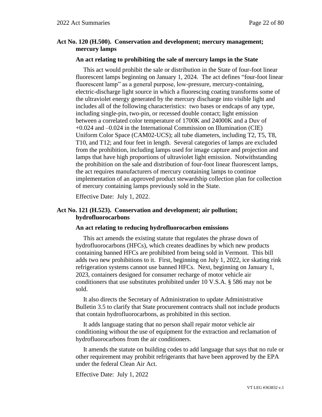# **Act No. 120 (H.500). Conservation and development; mercury management; mercury lamps**

#### **An act relating to prohibiting the sale of mercury lamps in the State**

This act would prohibit the sale or distribution in the State of four-foot linear fluorescent lamps beginning on January 1, 2024. The act defines "four-foot linear fluorescent lamp" as a general purpose, low-pressure, mercury-containing, electric-discharge light source in which a fluorescing coating transforms some of the ultraviolet energy generated by the mercury discharge into visible light and includes all of the following characteristics: two bases or endcaps of any type, including single-pin, two-pin, or recessed double contact; light emission between a correlated color temperature of 1700K and 24000K and a Duv of +0.024 and –0.024 in the International Commission on Illumination (CIE) Uniform Color Space (CAM02-UCS); all tube diameters, including T2, T5, T8, T10, and T12; and four feet in length. Several categories of lamps are excluded from the prohibition, including lamps used for image capture and projection and lamps that have high proportions of ultraviolet light emission. Notwithstanding the prohibition on the sale and distribution of four-foot linear fluorescent lamps, the act requires manufacturers of mercury containing lamps to continue implementation of an approved product stewardship collection plan for collection of mercury containing lamps previously sold in the State.

Effective Date: July 1, 2022.

# **Act No. 121 (H.523). Conservation and development; air pollution; hydrofluorocarbons**

#### **An act relating to reducing hydrofluorocarbon emissions**

This act amends the existing statute that regulates the phrase down of hydrofluorocarbons (HFCs), which creates deadlines by which new products containing banned HFCs are prohibited from being sold in Vermont. This bill adds two new prohibitions to it. First, beginning on July 1, 2022, ice skating rink refrigeration systems cannot use banned HFCs. Next, beginning on January 1, 2023, containers designed for consumer recharge of motor vehicle air conditioners that use substitutes prohibited under 10 V.S.A. § 586 may not be sold.

It also directs the Secretary of Administration to update Administrative Bulletin 3.5 to clarify that State procurement contracts shall not include products that contain hydrofluorocarbons, as prohibited in this section.

It adds language stating that no person shall repair motor vehicle air conditioning without the use of equipment for the extraction and reclamation of hydrofluorocarbons from the air conditioners.

It amends the statute on building codes to add language that says that no rule or other requirement may prohibit refrigerants that have been approved by the EPA under the federal Clean Air Act.

Effective Date: July 1, 2022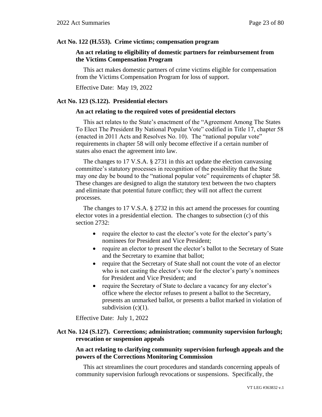#### **Act No. 122 (H.553). Crime victims; compensation program**

# **An act relating to eligibility of domestic partners for reimbursement from the Victims Compensation Program**

This act makes domestic partners of crime victims eligible for compensation from the Victims Compensation Program for loss of support.

Effective Date: May 19, 2022

#### **Act No. 123 (S.122). Presidential electors**

#### **An act relating to the required votes of presidential electors**

This act relates to the State's enactment of the "Agreement Among The States To Elect The President By National Popular Vote" codified in Title 17, chapter 58 (enacted in 2011 Acts and Resolves No. 10). The "national popular vote" requirements in chapter 58 will only become effective if a certain number of states also enact the agreement into law.

The changes to 17 V.S.A. § 2731 in this act update the election canvassing committee's statutory processes in recognition of the possibility that the State may one day be bound to the "national popular vote" requirements of chapter 58. These changes are designed to align the statutory text between the two chapters and eliminate that potential future conflict; they will not affect the current processes.

The changes to 17 V.S.A. § 2732 in this act amend the processes for counting elector votes in a presidential election. The changes to subsection (c) of this section 2732:

- require the elector to cast the elector's vote for the elector's party's nominees for President and Vice President;
- require an elector to present the elector's ballot to the Secretary of State and the Secretary to examine that ballot;
- require that the Secretary of State shall not count the vote of an elector who is not casting the elector's vote for the elector's party's nominees for President and Vice President; and
- require the Secretary of State to declare a vacancy for any elector's office where the elector refuses to present a ballot to the Secretary, presents an unmarked ballot, or presents a ballot marked in violation of subdivision  $(c)(1)$ .

Effective Date: July 1, 2022

# **Act No. 124 (S.127). Corrections; administration; community supervision furlough; revocation or suspension appeals**

#### **An act relating to clarifying community supervision furlough appeals and the powers of the Corrections Monitoring Commission**

This act streamlines the court procedures and standards concerning appeals of community supervision furlough revocations or suspensions. Specifically, the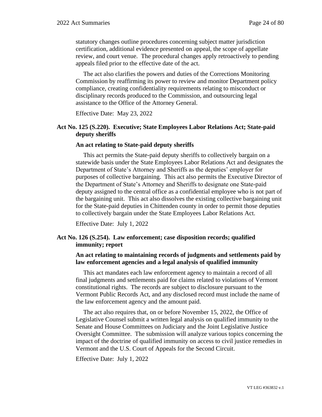statutory changes outline procedures concerning subject matter jurisdiction certification, additional evidence presented on appeal, the scope of appellate review, and court venue. The procedural changes apply retroactively to pending appeals filed prior to the effective date of the act.

The act also clarifies the powers and duties of the Corrections Monitoring Commission by reaffirming its power to review and monitor Department policy compliance, creating confidentiality requirements relating to misconduct or disciplinary records produced to the Commission, and outsourcing legal assistance to the Office of the Attorney General.

Effective Date: May 23, 2022

# **Act No. 125 (S.220). Executive; State Employees Labor Relations Act; State-paid deputy sheriffs**

#### **An act relating to State-paid deputy sheriffs**

This act permits the State-paid deputy sheriffs to collectively bargain on a statewide basis under the State Employees Labor Relations Act and designates the Department of State's Attorney and Sheriffs as the deputies' employer for purposes of collective bargaining. This act also permits the Executive Director of the Department of State's Attorney and Sheriffs to designate one State-paid deputy assigned to the central office as a confidential employee who is not part of the bargaining unit. This act also dissolves the existing collective bargaining unit for the State-paid deputies in Chittenden county in order to permit those deputies to collectively bargain under the State Employees Labor Relations Act.

Effective Date: July 1, 2022

#### **Act No. 126 (S.254). Law enforcement; case disposition records; qualified immunity; report**

# **An act relating to maintaining records of judgments and settlements paid by law enforcement agencies and a legal analysis of qualified immunity**

This act mandates each law enforcement agency to maintain a record of all final judgments and settlements paid for claims related to violations of Vermont constitutional rights. The records are subject to disclosure pursuant to the Vermont Public Records Act, and any disclosed record must include the name of the law enforcement agency and the amount paid.

The act also requires that, on or before November 15, 2022, the Office of Legislative Counsel submit a written legal analysis on qualified immunity to the Senate and House Committees on Judiciary and the Joint Legislative Justice Oversight Committee. The submission will analyze various topics concerning the impact of the doctrine of qualified immunity on access to civil justice remedies in Vermont and the U.S. Court of Appeals for the Second Circuit.

Effective Date: July 1, 2022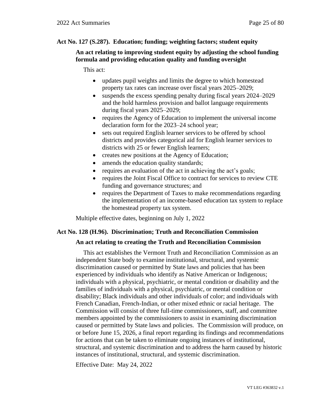# **Act No. 127 (S.287). Education; funding; weighting factors; student equity**

# **An act relating to improving student equity by adjusting the school funding formula and providing education quality and funding oversight**

This act:

- updates pupil weights and limits the degree to which homestead property tax rates can increase over fiscal years 2025–2029;
- suspends the excess spending penalty during fiscal years 2024–2029 and the hold harmless provision and ballot language requirements during fiscal years 2025–2029;
- requires the Agency of Education to implement the universal income declaration form for the 2023–24 school year;
- sets out required English learner services to be offered by school districts and provides categorical aid for English learner services to districts with 25 or fewer English learners;
- creates new positions at the Agency of Education;
- amends the education quality standards;
- requires an evaluation of the act in achieving the act's goals;
- requires the Joint Fiscal Office to contract for services to review CTE funding and governance structures; and
- requires the Department of Taxes to make recommendations regarding the implementation of an income-based education tax system to replace the homestead property tax system.

Multiple effective dates, beginning on July 1, 2022

# **Act No. 128 (H.96). Discrimination; Truth and Reconciliation Commission**

#### **An act relating to creating the Truth and Reconciliation Commission**

This act establishes the Vermont Truth and Reconciliation Commission as an independent State body to examine institutional, structural, and systemic discrimination caused or permitted by State laws and policies that has been experienced by individuals who identify as Native American or Indigenous; individuals with a physical, psychiatric, or mental condition or disability and the families of individuals with a physical, psychiatric, or mental condition or disability; Black individuals and other individuals of color; and individuals with French Canadian, French-Indian, or other mixed ethnic or racial heritage. The Commission will consist of three full-time commissioners, staff, and committee members appointed by the commissioners to assist in examining discrimination caused or permitted by State laws and policies. The Commission will produce, on or before June 15, 2026, a final report regarding its findings and recommendations for actions that can be taken to eliminate ongoing instances of institutional, structural, and systemic discrimination and to address the harm caused by historic instances of institutional, structural, and systemic discrimination.

Effective Date: May 24, 2022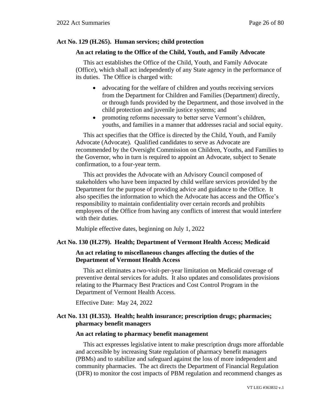# **Act No. 129 (H.265). Human services; child protection**

# **An act relating to the Office of the Child, Youth, and Family Advocate**

This act establishes the Office of the Child, Youth, and Family Advocate (Office), which shall act independently of any State agency in the performance of its duties. The Office is charged with:

- advocating for the welfare of children and youths receiving services from the Department for Children and Families (Department) directly, or through funds provided by the Department, and those involved in the child protection and juvenile justice systems; and
- promoting reforms necessary to better serve Vermont's children, youths, and families in a manner that addresses racial and social equity.

This act specifies that the Office is directed by the Child, Youth, and Family Advocate (Advocate). Qualified candidates to serve as Advocate are recommended by the Oversight Commission on Children, Youths, and Families to the Governor, who in turn is required to appoint an Advocate, subject to Senate confirmation, to a four-year term.

This act provides the Advocate with an Advisory Council composed of stakeholders who have been impacted by child welfare services provided by the Department for the purpose of providing advice and guidance to the Office. It also specifies the information to which the Advocate has access and the Office's responsibility to maintain confidentiality over certain records and prohibits employees of the Office from having any conflicts of interest that would interfere with their duties.

Multiple effective dates, beginning on July 1, 2022

#### **Act No. 130 (H.279). Health; Department of Vermont Health Access; Medicaid**

### **An act relating to miscellaneous changes affecting the duties of the Department of Vermont Health Access**

This act eliminates a two-visit-per-year limitation on Medicaid coverage of preventive dental services for adults. It also updates and consolidates provisions relating to the Pharmacy Best Practices and Cost Control Program in the Department of Vermont Health Access.

Effective Date: May 24, 2022

# **Act No. 131 (H.353). Health; health insurance; prescription drugs; pharmacies; pharmacy benefit managers**

#### **An act relating to pharmacy benefit management**

This act expresses legislative intent to make prescription drugs more affordable and accessible by increasing State regulation of pharmacy benefit managers (PBMs) and to stabilize and safeguard against the loss of more independent and community pharmacies. The act directs the Department of Financial Regulation (DFR) to monitor the cost impacts of PBM regulation and recommend changes as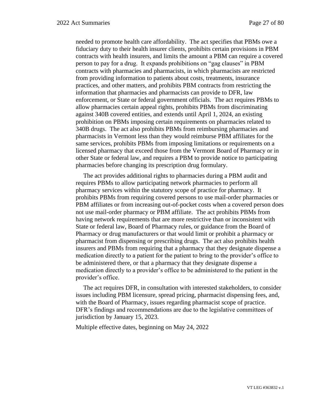needed to promote health care affordability. The act specifies that PBMs owe a fiduciary duty to their health insurer clients, prohibits certain provisions in PBM contracts with health insurers, and limits the amount a PBM can require a covered person to pay for a drug. It expands prohibitions on "gag clauses" in PBM contracts with pharmacies and pharmacists, in which pharmacists are restricted from providing information to patients about costs, treatments, insurance practices, and other matters, and prohibits PBM contracts from restricting the information that pharmacies and pharmacists can provide to DFR, law enforcement, or State or federal government officials. The act requires PBMs to allow pharmacies certain appeal rights, prohibits PBMs from discriminating against 340B covered entities, and extends until April 1, 2024, an existing prohibition on PBMs imposing certain requirements on pharmacies related to 340B drugs. The act also prohibits PBMs from reimbursing pharmacies and pharmacists in Vermont less than they would reimburse PBM affiliates for the same services, prohibits PBMs from imposing limitations or requirements on a licensed pharmacy that exceed those from the Vermont Board of Pharmacy or in other State or federal law, and requires a PBM to provide notice to participating pharmacies before changing its prescription drug formulary.

The act provides additional rights to pharmacies during a PBM audit and requires PBMs to allow participating network pharmacies to perform all pharmacy services within the statutory scope of practice for pharmacy. It prohibits PBMs from requiring covered persons to use mail-order pharmacies or PBM affiliates or from increasing out-of-pocket costs when a covered person does not use mail-order pharmacy or PBM affiliate. The act prohibits PBMs from having network requirements that are more restrictive than or inconsistent with State or federal law, Board of Pharmacy rules, or guidance from the Board of Pharmacy or drug manufacturers or that would limit or prohibit a pharmacy or pharmacist from dispensing or prescribing drugs. The act also prohibits health insurers and PBMs from requiring that a pharmacy that they designate dispense a medication directly to a patient for the patient to bring to the provider's office to be administered there, or that a pharmacy that they designate dispense a medication directly to a provider's office to be administered to the patient in the provider's office.

The act requires DFR, in consultation with interested stakeholders, to consider issues including PBM licensure, spread pricing, pharmacist dispensing fees, and, with the Board of Pharmacy, issues regarding pharmacist scope of practice. DFR's findings and recommendations are due to the legislative committees of jurisdiction by January 15, 2023.

Multiple effective dates, beginning on May 24, 2022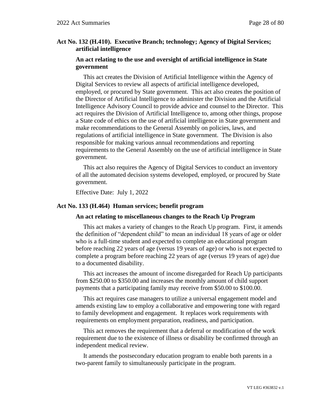# **Act No. 132 (H.410). Executive Branch; technology; Agency of Digital Services; artificial intelligence**

# **An act relating to the use and oversight of artificial intelligence in State government**

This act creates the Division of Artificial Intelligence within the Agency of Digital Services to review all aspects of artificial intelligence developed, employed, or procured by State government. This act also creates the position of the Director of Artificial Intelligence to administer the Division and the Artificial Intelligence Advisory Council to provide advice and counsel to the Director. This act requires the Division of Artificial Intelligence to, among other things, propose a State code of ethics on the use of artificial intelligence in State government and make recommendations to the General Assembly on policies, laws, and regulations of artificial intelligence in State government. The Division is also responsible for making various annual recommendations and reporting requirements to the General Assembly on the use of artificial intelligence in State government.

This act also requires the Agency of Digital Services to conduct an inventory of all the automated decision systems developed, employed, or procured by State government.

Effective Date: July 1, 2022

#### **Act No. 133 (H.464) Human services; benefit program**

#### **An act relating to miscellaneous changes to the Reach Up Program**

This act makes a variety of changes to the Reach Up program. First, it amends the definition of "dependent child" to mean an individual 18 years of age or older who is a full-time student and expected to complete an educational program before reaching 22 years of age (versus 19 years of age) or who is not expected to complete a program before reaching 22 years of age (versus 19 years of age) due to a documented disability.

This act increases the amount of income disregarded for Reach Up participants from \$250.00 to \$350.00 and increases the monthly amount of child support payments that a participating family may receive from \$50.00 to \$100.00.

This act requires case managers to utilize a universal engagement model and amends existing law to employ a collaborative and empowering tone with regard to family development and engagement. It replaces work requirements with requirements on employment preparation, readiness, and participation.

This act removes the requirement that a deferral or modification of the work requirement due to the existence of illness or disability be confirmed through an independent medical review.

It amends the postsecondary education program to enable both parents in a two-parent family to simultaneously participate in the program.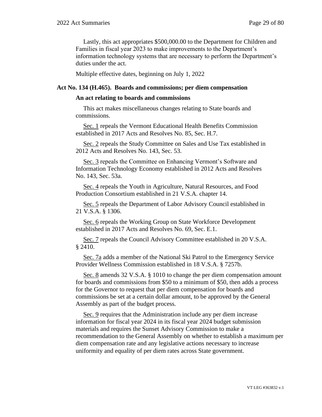Lastly, this act appropriates \$500,000.00 to the Department for Children and Families in fiscal year 2023 to make improvements to the Department's information technology systems that are necessary to perform the Department's duties under the act.

Multiple effective dates, beginning on July 1, 2022

#### **Act No. 134 (H.465). Boards and commissions; per diem compensation**

#### **An act relating to boards and commissions**

This act makes miscellaneous changes relating to State boards and commissions.

Sec. 1 repeals the Vermont Educational Health Benefits Commission established in 2017 Acts and Resolves No. 85, Sec. H.7.

Sec. 2 repeals the Study Committee on Sales and Use Tax established in 2012 Acts and Resolves No. 143, Sec. 53.

Sec. 3 repeals the Committee on Enhancing Vermont's Software and Information Technology Economy established in 2012 Acts and Resolves No. 143, Sec. 53a.

Sec. 4 repeals the Youth in Agriculture, Natural Resources, and Food Production Consortium established in 21 V.S.A. chapter 14.

Sec. 5 repeals the Department of Labor Advisory Council established in 21 V.S.A. § 1306.

Sec. 6 repeals the Working Group on State Workforce Development established in 2017 Acts and Resolves No. 69, Sec. E.1.

Sec. 7 repeals the Council Advisory Committee established in 20 V.S.A. § 2410.

Sec. 7a adds a member of the National Ski Patrol to the Emergency Service Provider Wellness Commission established in 18 V.S.A. § 7257b.

Sec. 8 amends 32 V.S.A. § 1010 to change the per diem compensation amount for boards and commissions from \$50 to a minimum of \$50, then adds a process for the Governor to request that per diem compensation for boards and commissions be set at a certain dollar amount, to be approved by the General Assembly as part of the budget process.

Sec. 9 requires that the Administration include any per diem increase information for fiscal year 2024 in its fiscal year 2024 budget submission materials and requires the Sunset Advisory Commission to make a recommendation to the General Assembly on whether to establish a maximum per diem compensation rate and any legislative actions necessary to increase uniformity and equality of per diem rates across State government.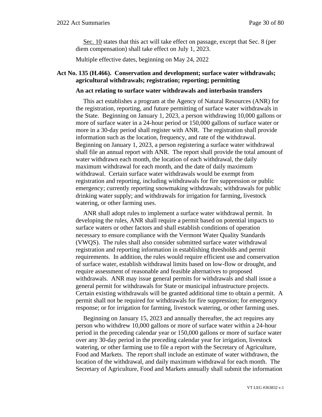Sec. 10 states that this act will take effect on passage, except that Sec. 8 (per diem compensation) shall take effect on July 1, 2023.

Multiple effective dates, beginning on May 24, 2022

# **Act No. 135 (H.466). Conservation and development; surface water withdrawals; agricultural withdrawals; registration; reporting; permitting**

#### **An act relating to surface water withdrawals and interbasin transfers**

This act establishes a program at the Agency of Natural Resources (ANR) for the registration, reporting, and future permitting of surface water withdrawals in the State. Beginning on January 1, 2023, a person withdrawing 10,000 gallons or more of surface water in a 24-hour period or 150,000 gallons of surface water or more in a 30-day period shall register with ANR. The registration shall provide information such as the location, frequency, and rate of the withdrawal. Beginning on January 1, 2023, a person registering a surface water withdrawal shall file an annual report with ANR. The report shall provide the total amount of water withdrawn each month, the location of each withdrawal, the daily maximum withdrawal for each month, and the date of daily maximum withdrawal. Certain surface water withdrawals would be exempt from registration and reporting, including withdrawals for fire suppression or public emergency; currently reporting snowmaking withdrawals; withdrawals for public drinking water supply; and withdrawals for irrigation for farming, livestock watering, or other farming uses.

ANR shall adopt rules to implement a surface water withdrawal permit. In developing the rules, ANR shall require a permit based on potential impacts to surface waters or other factors and shall establish conditions of operation necessary to ensure compliance with the Vermont Water Quality Standards (VWQS). The rules shall also consider submitted surface water withdrawal registration and reporting information in establishing thresholds and permit requirements. In addition, the rules would require efficient use and conservation of surface water, establish withdrawal limits based on low-flow or drought, and require assessment of reasonable and feasible alternatives to proposed withdrawals. ANR may issue general permits for withdrawals and shall issue a general permit for withdrawals for State or municipal infrastructure projects. Certain existing withdrawals will be granted additional time to obtain a permit. A permit shall not be required for withdrawals for fire suppression; for emergency response; or for irrigation for farming, livestock watering, or other farming uses.

Beginning on January 15, 2023 and annually thereafter, the act requires any person who withdrew 10,000 gallons or more of surface water within a 24-hour period in the preceding calendar year or 150,000 gallons or more of surface water over any 30-day period in the preceding calendar year for irrigation, livestock watering, or other farming use to file a report with the Secretary of Agriculture, Food and Markets. The report shall include an estimate of water withdrawn, the location of the withdrawal, and daily maximum withdrawal for each month. The Secretary of Agriculture, Food and Markets annually shall submit the information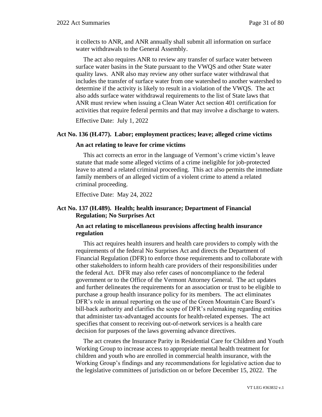it collects to ANR, and ANR annually shall submit all information on surface water withdrawals to the General Assembly.

The act also requires ANR to review any transfer of surface water between surface water basins in the State pursuant to the VWQS and other State water quality laws. ANR also may review any other surface water withdrawal that includes the transfer of surface water from one watershed to another watershed to determine if the activity is likely to result in a violation of the VWQS. The act also adds surface water withdrawal requirements to the list of State laws that ANR must review when issuing a Clean Water Act section 401 certification for activities that require federal permits and that may involve a discharge to waters.

Effective Date: July 1, 2022

#### **Act No. 136 (H.477). Labor; employment practices; leave; alleged crime victims**

#### **An act relating to leave for crime victims**

This act corrects an error in the language of Vermont's crime victim's leave statute that made some alleged victims of a crime ineligible for job-protected leave to attend a related criminal proceeding. This act also permits the immediate family members of an alleged victim of a violent crime to attend a related criminal proceeding.

Effective Date: May 24, 2022

# **Act No. 137 (H.489). Health; health insurance; Department of Financial Regulation; No Surprises Act**

# **An act relating to miscellaneous provisions affecting health insurance regulation**

This act requires health insurers and health care providers to comply with the requirements of the federal No Surprises Act and directs the Department of Financial Regulation (DFR) to enforce those requirements and to collaborate with other stakeholders to inform health care providers of their responsibilities under the federal Act. DFR may also refer cases of noncompliance to the federal government or to the Office of the Vermont Attorney General. The act updates and further delineates the requirements for an association or trust to be eligible to purchase a group health insurance policy for its members. The act eliminates DFR's role in annual reporting on the use of the Green Mountain Care Board's bill-back authority and clarifies the scope of DFR's rulemaking regarding entities that administer tax-advantaged accounts for health-related expenses. The act specifies that consent to receiving out-of-network services is a health care decision for purposes of the laws governing advance directives.

The act creates the Insurance Parity in Residential Care for Children and Youth Working Group to increase access to appropriate mental health treatment for children and youth who are enrolled in commercial health insurance, with the Working Group's findings and any recommendations for legislative action due to the legislative committees of jurisdiction on or before December 15, 2022. The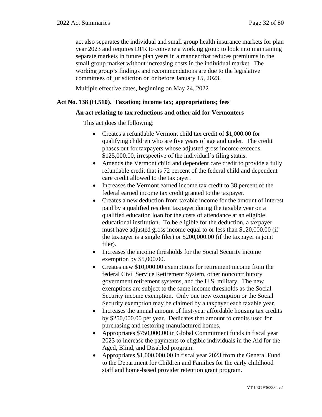act also separates the individual and small group health insurance markets for plan year 2023 and requires DFR to convene a working group to look into maintaining separate markets in future plan years in a manner that reduces premiums in the small group market without increasing costs in the individual market. The working group's findings and recommendations are due to the legislative committees of jurisdiction on or before January 15, 2023.

Multiple effective dates, beginning on May 24, 2022

# **Act No. 138 (H.510). Taxation; income tax; appropriations; fees**

# **An act relating to tax reductions and other aid for Vermonters**

This act does the following:

- Creates a refundable Vermont child tax credit of \$1,000.00 for qualifying children who are five years of age and under. The credit phases out for taxpayers whose adjusted gross income exceeds \$125,000.00, irrespective of the individual's filing status.
- Amends the Vermont child and dependent care credit to provide a fully refundable credit that is 72 percent of the federal child and dependent care credit allowed to the taxpayer.
- Increases the Vermont earned income tax credit to 38 percent of the federal earned income tax credit granted to the taxpayer.
- Creates a new deduction from taxable income for the amount of interest paid by a qualified resident taxpayer during the taxable year on a qualified education loan for the costs of attendance at an eligible educational institution. To be eligible for the deduction, a taxpayer must have adjusted gross income equal to or less than \$120,000.00 (if the taxpayer is a single filer) or \$200,000.00 (if the taxpayer is joint filer).
- Increases the income thresholds for the Social Security income exemption by \$5,000.00.
- Creates new \$10,000,00 exemptions for retirement income from the federal Civil Service Retirement System, other noncontributory government retirement systems, and the U.S. military. The new exemptions are subject to the same income thresholds as the Social Security income exemption. Only one new exemption or the Social Security exemption may be claimed by a taxpayer each taxable year.
- Increases the annual amount of first-year affordable housing tax credits by \$250,000.00 per year. Dedicates that amount to credits used for purchasing and restoring manufactured homes.
- Appropriates \$750,000.00 in Global Commitment funds in fiscal year 2023 to increase the payments to eligible individuals in the Aid for the Aged, Blind, and Disabled program.
- Appropriates \$1,000,000.00 in fiscal year 2023 from the General Fund to the Department for Children and Families for the early childhood staff and home-based provider retention grant program.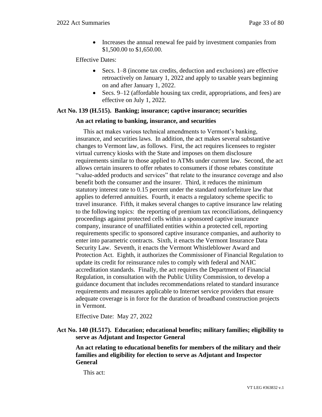• Increases the annual renewal fee paid by investment companies from \$1,500.00 to \$1,650.00.

Effective Dates:

- Secs. 1–8 (income tax credits, deduction and exclusions) are effective retroactively on January 1, 2022 and apply to taxable years beginning on and after January 1, 2022.
- Secs. 9–12 (affordable housing tax credit, appropriations, and fees) are effective on July 1, 2022.

# **Act No. 139 (H.515). Banking; insurance; captive insurance; securities**

#### **An act relating to banking, insurance, and securities**

This act makes various technical amendments to Vermont's banking, insurance, and securities laws. In addition, the act makes several substantive changes to Vermont law, as follows. First, the act requires licensees to register virtual currency kiosks with the State and imposes on them disclosure requirements similar to those applied to ATMs under current law. Second, the act allows certain insurers to offer rebates to consumers if those rebates constitute "value-added products and services" that relate to the insurance coverage and also benefit both the consumer and the insurer. Third, it reduces the minimum statutory interest rate to 0.15 percent under the standard nonforfeiture law that applies to deferred annuities. Fourth, it enacts a regulatory scheme specific to travel insurance. Fifth, it makes several changes to captive insurance law relating to the following topics: the reporting of premium tax reconciliations, delinquency proceedings against protected cells within a sponsored captive insurance company, insurance of unaffiliated entities within a protected cell, reporting requirements specific to sponsored captive insurance companies, and authority to enter into parametric contracts. Sixth, it enacts the Vermont Insurance Data Security Law. Seventh, it enacts the Vermont Whistleblower Award and Protection Act. Eighth, it authorizes the Commissioner of Financial Regulation to update its credit for reinsurance rules to comply with federal and NAIC accreditation standards. Finally, the act requires the Department of Financial Regulation, in consultation with the Public Utility Commission, to develop a guidance document that includes recommendations related to standard insurance requirements and measures applicable to Internet service providers that ensure adequate coverage is in force for the duration of broadband construction projects in Vermont.

Effective Date: May 27, 2022

# **Act No. 140 (H.517). Education; educational benefits; military families; eligibility to serve as Adjutant and Inspector General**

**An act relating to educational benefits for members of the military and their families and eligibility for election to serve as Adjutant and Inspector General**

This act: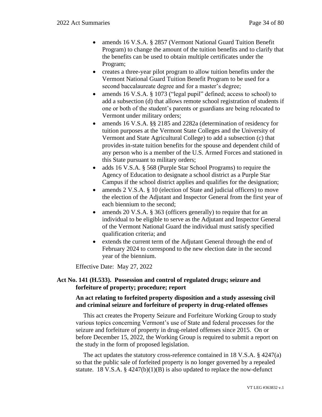- amends 16 V.S.A. § 2857 (Vermont National Guard Tuition Benefit Program) to change the amount of the tuition benefits and to clarify that the benefits can be used to obtain multiple certificates under the Program;
- creates a three-year pilot program to allow tuition benefits under the Vermont National Guard Tuition Benefit Program to be used for a second baccalaureate degree and for a master's degree;
- amends 16 V.S.A. § 1073 ("legal pupil" defined; access to school) to add a subsection (d) that allows remote school registration of students if one or both of the student's parents or guardians are being relocated to Vermont under military orders;
- amends 16 V.S.A. §§ 2185 and 2282a (determination of residency for tuition purposes at the Vermont State Colleges and the University of Vermont and State Agricultural College) to add a subsection (c) that provides in-state tuition benefits for the spouse and dependent child of any person who is a member of the U.S. Armed Forces and stationed in this State pursuant to military orders;
- adds 16 V.S.A. § 568 (Purple Star School Programs) to require the Agency of Education to designate a school district as a Purple Star Campus if the school district applies and qualifies for the designation;
- amends 2 V.S.A. § 10 (election of State and judicial officers) to move the election of the Adjutant and Inspector General from the first year of each biennium to the second;
- amends 20 V.S.A. § 363 (officers generally) to require that for an individual to be eligible to serve as the Adjutant and Inspector General of the Vermont National Guard the individual must satisfy specified qualification criteria; and
- extends the current term of the Adjutant General through the end of February 2024 to correspond to the new election date in the second year of the biennium.

Effective Date: May 27, 2022

# **Act No. 141 (H.533). Possession and control of regulated drugs; seizure and forfeiture of property; procedure; report**

# **An act relating to forfeited property disposition and a study assessing civil and criminal seizure and forfeiture of property in drug-related offenses**

This act creates the Property Seizure and Forfeiture Working Group to study various topics concerning Vermont's use of State and federal processes for the seizure and forfeiture of property in drug-related offenses since 2015. On or before December 15, 2022, the Working Group is required to submit a report on the study in the form of proposed legislation.

The act updates the statutory cross-reference contained in 18 V.S.A. § 4247(a) so that the public sale of forfeited property is no longer governed by a repealed statute. 18 V.S.A.  $\S$  4247(b)(1)(B) is also updated to replace the now-defunct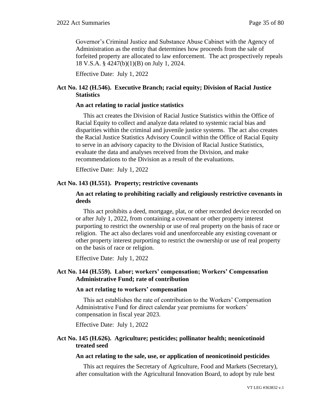Governor's Criminal Justice and Substance Abuse Cabinet with the Agency of Administration as the entity that determines how proceeds from the sale of forfeited property are allocated to law enforcement. The act prospectively repeals 18 V.S.A. § 4247(b)(1)(B) on July 1, 2024.

Effective Date: July 1, 2022

# **Act No. 142 (H.546). Executive Branch; racial equity; Division of Racial Justice Statistics**

# **An act relating to racial justice statistics**

This act creates the Division of Racial Justice Statistics within the Office of Racial Equity to collect and analyze data related to systemic racial bias and disparities within the criminal and juvenile justice systems. The act also creates the Racial Justice Statistics Advisory Council within the Office of Racial Equity to serve in an advisory capacity to the Division of Racial Justice Statistics, evaluate the data and analyses received from the Division, and make recommendations to the Division as a result of the evaluations.

Effective Date: July 1, 2022

# **Act No. 143 (H.551). Property; restrictive covenants**

# **An act relating to prohibiting racially and religiously restrictive covenants in deeds**

This act prohibits a deed, mortgage, plat, or other recorded device recorded on or after July 1, 2022, from containing a covenant or other property interest purporting to restrict the ownership or use of real property on the basis of race or religion. The act also declares void and unenforceable any existing covenant or other property interest purporting to restrict the ownership or use of real property on the basis of race or religion.

Effective Date: July 1, 2022

# **Act No. 144 (H.559). Labor; workers' compensation; Workers' Compensation Administrative Fund; rate of contribution**

#### **An act relating to workers' compensation**

This act establishes the rate of contribution to the Workers' Compensation Administrative Fund for direct calendar year premiums for workers' compensation in fiscal year 2023.

Effective Date: July 1, 2022

# **Act No. 145 (H.626). Agriculture; pesticides; pollinator health; neonicotinoid treated seed**

#### **An act relating to the sale, use, or application of neonicotinoid pesticides**

This act requires the Secretary of Agriculture, Food and Markets (Secretary), after consultation with the Agricultural Innovation Board, to adopt by rule best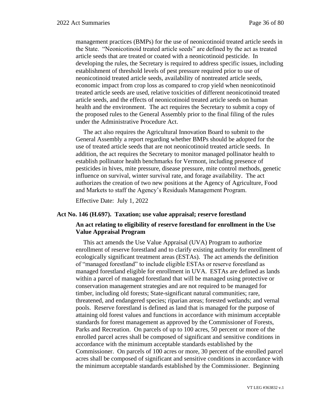management practices (BMPs) for the use of neonicotinoid treated article seeds in the State. "Neonicotinoid treated article seeds" are defined by the act as treated article seeds that are treated or coated with a neonicotinoid pesticide. In developing the rules, the Secretary is required to address specific issues, including establishment of threshold levels of pest pressure required prior to use of neonicotinoid treated article seeds, availability of nontreated article seeds, economic impact from crop loss as compared to crop yield when neonicotinoid treated article seeds are used, relative toxicities of different neonicotinoid treated article seeds, and the effects of neonicotinoid treated article seeds on human health and the environment. The act requires the Secretary to submit a copy of the proposed rules to the General Assembly prior to the final filing of the rules under the Administrative Procedure Act.

The act also requires the Agricultural Innovation Board to submit to the General Assembly a report regarding whether BMPs should be adopted for the use of treated article seeds that are not neonicotinoid treated article seeds. In addition, the act requires the Secretary to monitor managed pollinator health to establish pollinator health benchmarks for Vermont, including presence of pesticides in hives, mite pressure, disease pressure, mite control methods, genetic influence on survival, winter survival rate, and forage availability. The act authorizes the creation of two new positions at the Agency of Agriculture, Food and Markets to staff the Agency's Residuals Management Program.

Effective Date: July 1, 2022

#### **Act No. 146 (H.697). Taxation; use value appraisal; reserve forestland**

# **An act relating to eligibility of reserve forestland for enrollment in the Use Value Appraisal Program**

This act amends the Use Value Appraisal (UVA) Program to authorize enrollment of reserve forestland and to clarify existing authority for enrollment of ecologically significant treatment areas (ESTAs). The act amends the definition of "managed forestland" to include eligible ESTAs or reserve forestland as managed forestland eligible for enrollment in UVA. ESTAs are defined as lands within a parcel of managed forestland that will be managed using protective or conservation management strategies and are not required to be managed for timber, including old forests; State-significant natural communities; rare, threatened, and endangered species; riparian areas; forested wetlands; and vernal pools. Reserve forestland is defined as land that is managed for the purpose of attaining old forest values and functions in accordance with minimum acceptable standards for forest management as approved by the Commissioner of Forests, Parks and Recreation. On parcels of up to 100 acres, 50 percent or more of the enrolled parcel acres shall be composed of significant and sensitive conditions in accordance with the minimum acceptable standards established by the Commissioner. On parcels of 100 acres or more, 30 percent of the enrolled parcel acres shall be composed of significant and sensitive conditions in accordance with the minimum acceptable standards established by the Commissioner. Beginning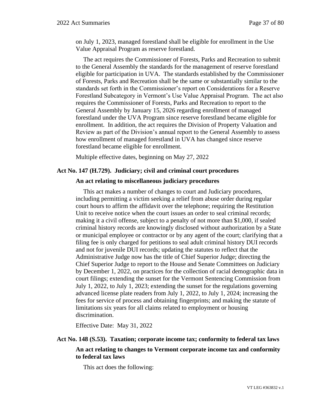on July 1, 2023, managed forestland shall be eligible for enrollment in the Use Value Appraisal Program as reserve forestland.

The act requires the Commissioner of Forests, Parks and Recreation to submit to the General Assembly the standards for the management of reserve forestland eligible for participation in UVA. The standards established by the Commissioner of Forests, Parks and Recreation shall be the same or substantially similar to the standards set forth in the Commissioner's report on Considerations for a Reserve Forestland Subcategory in Vermont's Use Value Appraisal Program. The act also requires the Commissioner of Forests, Parks and Recreation to report to the General Assembly by January 15, 2026 regarding enrollment of managed forestland under the UVA Program since reserve forestland became eligible for enrollment. In addition, the act requires the Division of Property Valuation and Review as part of the Division's annual report to the General Assembly to assess how enrollment of managed forestland in UVA has changed since reserve forestland became eligible for enrollment.

Multiple effective dates, beginning on May 27, 2022

#### **Act No. 147 (H.729). Judiciary; civil and criminal court procedures**

#### **An act relating to miscellaneous judiciary procedures**

This act makes a number of changes to court and Judiciary procedures, including permitting a victim seeking a relief from abuse order during regular court hours to affirm the affidavit over the telephone; requiring the Restitution Unit to receive notice when the court issues an order to seal criminal records: making it a civil offense, subject to a penalty of not more than \$1,000, if sealed criminal history records are knowingly disclosed without authorization by a State or municipal employee or contractor or by any agent of the court; clarifying that a filing fee is only charged for petitions to seal adult criminal history DUI records and not for juvenile DUI records; updating the statutes to reflect that the Administrative Judge now has the title of Chief Superior Judge; directing the Chief Superior Judge to report to the House and Senate Committees on Judiciary by December 1, 2022, on practices for the collection of racial demographic data in court filings; extending the sunset for the Vermont Sentencing Commission from July 1, 2022, to July 1, 2023; extending the sunset for the regulations governing advanced license plate readers from July 1, 2022, to July 1, 2024; increasing the fees for service of process and obtaining fingerprints; and making the statute of limitations six years for all claims related to employment or housing discrimination.

Effective Date: May 31, 2022

# **Act No. 148 (S.53). Taxation; corporate income tax; conformity to federal tax laws**

### **An act relating to changes to Vermont corporate income tax and conformity to federal tax laws**

This act does the following: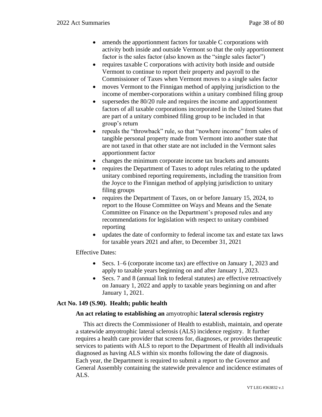- amends the apportionment factors for taxable C corporations with activity both inside and outside Vermont so that the only apportionment factor is the sales factor (also known as the "single sales factor")
- requires taxable C corporations with activity both inside and outside Vermont to continue to report their property and payroll to the Commissioner of Taxes when Vermont moves to a single sales factor
- moves Vermont to the Finnigan method of applying jurisdiction to the income of member-corporations within a unitary combined filing group
- supersedes the 80/20 rule and requires the income and apportionment factors of all taxable corporations incorporated in the United States that are part of a unitary combined filing group to be included in that group's return
- repeals the "throwback" rule, so that "nowhere income" from sales of tangible personal property made from Vermont into another state that are not taxed in that other state are not included in the Vermont sales apportionment factor
- changes the minimum corporate income tax brackets and amounts
- requires the Department of Taxes to adopt rules relating to the updated unitary combined reporting requirements, including the transition from the Joyce to the Finnigan method of applying jurisdiction to unitary filing groups
- requires the Department of Taxes, on or before January 15, 2024, to report to the House Committee on Ways and Means and the Senate Committee on Finance on the Department's proposed rules and any recommendations for legislation with respect to unitary combined reporting
- updates the date of conformity to federal income tax and estate tax laws for taxable years 2021 and after, to December 31, 2021

Effective Dates:

- Secs. 1–6 (corporate income tax) are effective on January 1, 2023 and apply to taxable years beginning on and after January 1, 2023.
- Secs. 7 and 8 (annual link to federal statutes) are effective retroactively on January 1, 2022 and apply to taxable years beginning on and after January 1, 2021.

## **Act No. 149 (S.90). Health; public health**

#### **An act relating to establishing an** amyotrophic **lateral sclerosis registry**

This act directs the Commissioner of Health to establish, maintain, and operate a statewide amyotrophic lateral sclerosis (ALS) incidence registry. It further requires a health care provider that screens for, diagnoses, or provides therapeutic services to patients with ALS to report to the Department of Health all individuals diagnosed as having ALS within six months following the date of diagnosis. Each year, the Department is required to submit a report to the Governor and General Assembly containing the statewide prevalence and incidence estimates of ALS.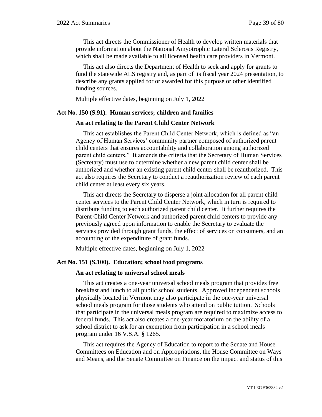This act directs the Commissioner of Health to develop written materials that provide information about the National Amyotrophic Lateral Sclerosis Registry, which shall be made available to all licensed health care providers in Vermont.

This act also directs the Department of Health to seek and apply for grants to fund the statewide ALS registry and, as part of its fiscal year 2024 presentation, to describe any grants applied for or awarded for this purpose or other identified funding sources.

Multiple effective dates, beginning on July 1, 2022

#### **Act No. 150 (S.91). Human services; children and families**

#### **An act relating to the Parent Child Center Network**

This act establishes the Parent Child Center Network, which is defined as "an Agency of Human Services' community partner composed of authorized parent child centers that ensures accountability and collaboration among authorized parent child centers." It amends the criteria that the Secretary of Human Services (Secretary) must use to determine whether a new parent child center shall be authorized and whether an existing parent child center shall be reauthorized. This act also requires the Secretary to conduct a reauthorization review of each parent child center at least every six years.

This act directs the Secretary to disperse a joint allocation for all parent child center services to the Parent Child Center Network, which in turn is required to distribute funding to each authorized parent child center. It further requires the Parent Child Center Network and authorized parent child centers to provide any previously agreed upon information to enable the Secretary to evaluate the services provided through grant funds, the effect of services on consumers, and an accounting of the expenditure of grant funds.

Multiple effective dates, beginning on July 1, 2022

## **Act No. 151 (S.100). Education; school food programs**

#### **An act relating to universal school meals**

This act creates a one-year universal school meals program that provides free breakfast and lunch to all public school students. Approved independent schools physically located in Vermont may also participate in the one-year universal school meals program for those students who attend on public tuition. Schools that participate in the universal meals program are required to maximize access to federal funds. This act also creates a one-year moratorium on the ability of a school district to ask for an exemption from participation in a school meals program under 16 V.S.A. § 1265.

This act requires the Agency of Education to report to the Senate and House Committees on Education and on Appropriations, the House Committee on Ways and Means, and the Senate Committee on Finance on the impact and status of this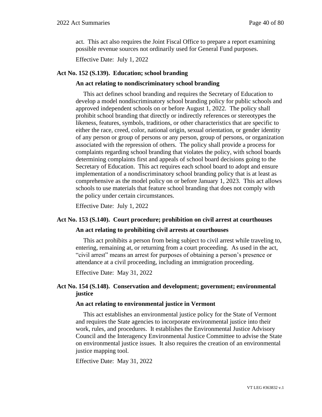act. This act also requires the Joint Fiscal Office to prepare a report examining possible revenue sources not ordinarily used for General Fund purposes.

Effective Date: July 1, 2022

### **Act No. 152 (S.139). Education; school branding**

#### **An act relating to nondiscriminatory school branding**

This act defines school branding and requires the Secretary of Education to develop a model nondiscriminatory school branding policy for public schools and approved independent schools on or before August 1, 2022. The policy shall prohibit school branding that directly or indirectly references or stereotypes the likeness, features, symbols, traditions, or other characteristics that are specific to either the race, creed, color, national origin, sexual orientation, or gender identity of any person or group of persons or any person, group of persons, or organization associated with the repression of others. The policy shall provide a process for complaints regarding school branding that violates the policy, with school boards determining complaints first and appeals of school board decisions going to the Secretary of Education. This act requires each school board to adopt and ensure implementation of a nondiscriminatory school branding policy that is at least as comprehensive as the model policy on or before January 1, 2023. This act allows schools to use materials that feature school branding that does not comply with the policy under certain circumstances.

Effective Date: July 1, 2022

#### **Act No. 153 (S.140). Court procedure; prohibition on civil arrest at courthouses**

#### **An act relating to prohibiting civil arrests at courthouses**

This act prohibits a person from being subject to civil arrest while traveling to, entering, remaining at, or returning from a court proceeding. As used in the act, "civil arrest" means an arrest for purposes of obtaining a person's presence or attendance at a civil proceeding, including an immigration proceeding.

Effective Date: May 31, 2022

# **Act No. 154 (S.148). Conservation and development; government; environmental justice**

### **An act relating to environmental justice in Vermont**

This act establishes an environmental justice policy for the State of Vermont and requires the State agencies to incorporate environmental justice into their work, rules, and procedures. It establishes the Environmental Justice Advisory Council and the Interagency Environmental Justice Committee to advise the State on environmental justice issues. It also requires the creation of an environmental justice mapping tool.

Effective Date: May 31, 2022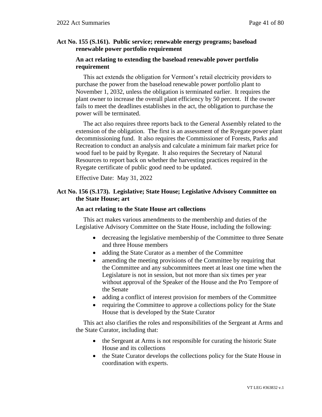## **Act No. 155 (S.161). Public service; renewable energy programs; baseload renewable power portfolio requirement**

### **An act relating to extending the baseload renewable power portfolio requirement**

This act extends the obligation for Vermont's retail electricity providers to purchase the power from the baseload renewable power portfolio plant to November 1, 2032, unless the obligation is terminated earlier. It requires the plant owner to increase the overall plant efficiency by 50 percent. If the owner fails to meet the deadlines establishes in the act, the obligation to purchase the power will be terminated.

The act also requires three reports back to the General Assembly related to the extension of the obligation. The first is an assessment of the Ryegate power plant decommissioning fund. It also requires the Commissioner of Forests, Parks and Recreation to conduct an analysis and calculate a minimum fair market price for wood fuel to be paid by Ryegate. It also requires the Secretary of Natural Resources to report back on whether the harvesting practices required in the Ryegate certificate of public good need to be updated.

Effective Date: May 31, 2022

## **Act No. 156 (S.173). Legislative; State House; Legislative Advisory Committee on the State House; art**

#### **An act relating to the State House art collections**

This act makes various amendments to the membership and duties of the Legislative Advisory Committee on the State House, including the following:

- decreasing the legislative membership of the Committee to three Senate and three House members
- adding the State Curator as a member of the Committee
- amending the meeting provisions of the Committee by requiring that the Committee and any subcommittees meet at least one time when the Legislature is not in session, but not more than six times per year without approval of the Speaker of the House and the Pro Tempore of the Senate
- adding a conflict of interest provision for members of the Committee
- requiring the Committee to approve a collections policy for the State House that is developed by the State Curator

This act also clarifies the roles and responsibilities of the Sergeant at Arms and the State Curator, including that:

- the Sergeant at Arms is not responsible for curating the historic State House and its collections
- the State Curator develops the collections policy for the State House in coordination with experts.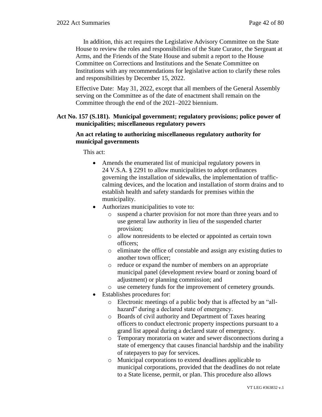In addition, this act requires the Legislative Advisory Committee on the State House to review the roles and responsibilities of the State Curator, the Sergeant at Arms, and the Friends of the State House and submit a report to the House Committee on Corrections and Institutions and the Senate Committee on Institutions with any recommendations for legislative action to clarify these roles and responsibilities by December 15, 2022.

Effective Date: May 31, 2022, except that all members of the General Assembly serving on the Committee as of the date of enactment shall remain on the Committee through the end of the 2021–2022 biennium.

## **Act No. 157 (S.181). Municipal government; regulatory provisions; police power of municipalities; miscellaneous regulatory powers**

## **An act relating to authorizing miscellaneous regulatory authority for municipal governments**

This act:

- Amends the enumerated list of municipal regulatory powers in 24 V.S.A. § 2291 to allow municipalities to adopt ordinances governing the installation of sidewalks, the implementation of trafficcalming devices, and the location and installation of storm drains and to establish health and safety standards for premises within the municipality.
- Authorizes municipalities to vote to:
	- o suspend a charter provision for not more than three years and to use general law authority in lieu of the suspended charter provision;
	- o allow nonresidents to be elected or appointed as certain town officers;
	- o eliminate the office of constable and assign any existing duties to another town officer;
	- o reduce or expand the number of members on an appropriate municipal panel (development review board or zoning board of adjustment) or planning commission; and
	- o use cemetery funds for the improvement of cemetery grounds.
- Establishes procedures for:
	- o Electronic meetings of a public body that is affected by an "allhazard" during a declared state of emergency.
	- o Boards of civil authority and Department of Taxes hearing officers to conduct electronic property inspections pursuant to a grand list appeal during a declared state of emergency.
	- o Temporary moratoria on water and sewer disconnections during a state of emergency that causes financial hardship and the inability of ratepayers to pay for services.
	- o Municipal corporations to extend deadlines applicable to municipal corporations, provided that the deadlines do not relate to a State license, permit, or plan. This procedure also allows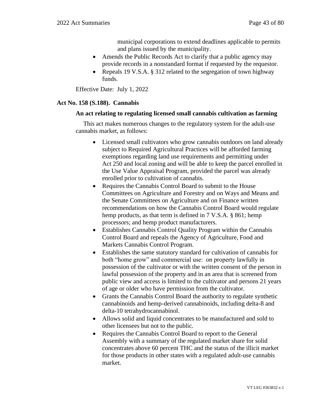municipal corporations to extend deadlines applicable to permits and plans issued by the municipality.

- Amends the Public Records Act to clarify that a public agency may provide records in a nonstandard format if requested by the requestor.
- Repeals 19 V.S.A. § 312 related to the segregation of town highway funds.

Effective Date: July 1, 2022

#### **Act No. 158 (S.188). Cannabis**

## **An act relating to regulating licensed small cannabis cultivation as farming**

This act makes numerous changes to the regulatory system for the adult-use cannabis market, as follows:

- Licensed small cultivators who grow cannabis outdoors on land already subject to Required Agricultural Practices will be afforded farming exemptions regarding land use requirements and permitting under Act 250 and local zoning and will be able to keep the parcel enrolled in the Use Value Appraisal Program, provided the parcel was already enrolled prior to cultivation of cannabis.
- Requires the Cannabis Control Board to submit to the House Committees on Agriculture and Forestry and on Ways and Means and the Senate Committees on Agriculture and on Finance written recommendations on how the Cannabis Control Board would regulate hemp products, as that term is defined in 7 V.S.A. § 861; hemp processors; and hemp product manufacturers.
- Establishes Cannabis Control Quality Program within the Cannabis Control Board and repeals the Agency of Agriculture, Food and Markets Cannabis Control Program.
- Establishes the same statutory standard for cultivation of cannabis for both "home grow" and commercial use: on property lawfully in possession of the cultivator or with the written consent of the person in lawful possession of the property and in an area that is screened from public view and access is limited to the cultivator and persons 21 years of age or older who have permission from the cultivator.
- Grants the Cannabis Control Board the authority to regulate synthetic cannabinoids and hemp-derived cannabinoids, including delta-8 and delta-10 tetrahydrocannabinol.
- Allows solid and liquid concentrates to be manufactured and sold to other licensees but not to the public.
- Requires the Cannabis Control Board to report to the General Assembly with a summary of the regulated market share for solid concentrates above 60 percent THC and the status of the illicit market for those products in other states with a regulated adult-use cannabis market.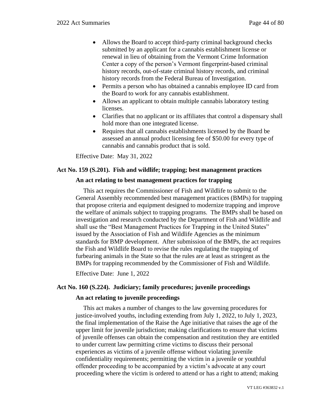- Allows the Board to accept third-party criminal background checks submitted by an applicant for a cannabis establishment license or renewal in lieu of obtaining from the Vermont Crime Information Center a copy of the person's Vermont fingerprint-based criminal history records, out-of-state criminal history records, and criminal history records from the Federal Bureau of Investigation.
- Permits a person who has obtained a cannabis employee ID card from the Board to work for any cannabis establishment.
- Allows an applicant to obtain multiple cannabis laboratory testing licenses.
- Clarifies that no applicant or its affiliates that control a dispensary shall hold more than one integrated license.
- Requires that all cannabis establishments licensed by the Board be assessed an annual product licensing fee of \$50.00 for every type of cannabis and cannabis product that is sold.

Effective Date: May 31, 2022

#### **Act No. 159 (S.201). Fish and wildlife; trapping; best management practices**

#### **An act relating to best management practices for trapping**

This act requires the Commissioner of Fish and Wildlife to submit to the General Assembly recommended best management practices (BMPs) for trapping that propose criteria and equipment designed to modernize trapping and improve the welfare of animals subject to trapping programs. The BMPs shall be based on investigation and research conducted by the Department of Fish and Wildlife and shall use the "Best Management Practices for Trapping in the United States" issued by the Association of Fish and Wildlife Agencies as the minimum standards for BMP development. After submission of the BMPs, the act requires the Fish and Wildlife Board to revise the rules regulating the trapping of furbearing animals in the State so that the rules are at least as stringent as the BMPs for trapping recommended by the Commissioner of Fish and Wildlife.

Effective Date: June 1, 2022

#### **Act No. 160 (S.224). Judiciary; family procedures; juvenile proceedings**

#### **An act relating to juvenile proceedings**

This act makes a number of changes to the law governing procedures for justice-involved youths, including extending from July 1, 2022, to July 1, 2023, the final implementation of the Raise the Age initiative that raises the age of the upper limit for juvenile jurisdiction; making clarifications to ensure that victims of juvenile offenses can obtain the compensation and restitution they are entitled to under current law permitting crime victims to discuss their personal experiences as victims of a juvenile offense without violating juvenile confidentiality requirements; permitting the victim in a juvenile or youthful offender proceeding to be accompanied by a victim's advocate at any court proceeding where the victim is ordered to attend or has a right to attend; making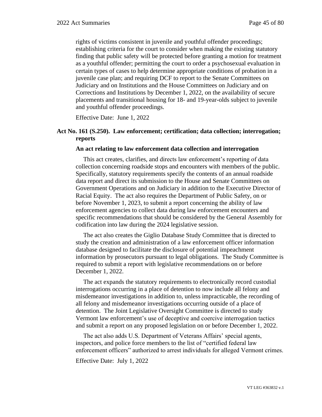rights of victims consistent in juvenile and youthful offender proceedings; establishing criteria for the court to consider when making the existing statutory finding that public safety will be protected before granting a motion for treatment as a youthful offender; permitting the court to order a psychosexual evaluation in certain types of cases to help determine appropriate conditions of probation in a juvenile case plan; and requiring DCF to report to the Senate Committees on Judiciary and on Institutions and the House Committees on Judiciary and on Corrections and Institutions by December 1, 2022, on the availability of secure placements and transitional housing for 18- and 19-year-olds subject to juvenile and youthful offender proceedings.

Effective Date: June 1, 2022

# **Act No. 161 (S.250). Law enforcement; certification; data collection; interrogation; reports**

#### **An act relating to law enforcement data collection and interrogation**

This act creates, clarifies, and directs law enforcement's reporting of data collection concerning roadside stops and encounters with members of the public. Specifically, statutory requirements specify the contents of an annual roadside data report and direct its submission to the House and Senate Committees on Government Operations and on Judiciary in addition to the Executive Director of Racial Equity. The act also requires the Department of Public Safety, on or before November 1, 2023, to submit a report concerning the ability of law enforcement agencies to collect data during law enforcement encounters and specific recommendations that should be considered by the General Assembly for codification into law during the 2024 legislative session.

The act also creates the Giglio Database Study Committee that is directed to study the creation and administration of a law enforcement officer information database designed to facilitate the disclosure of potential impeachment information by prosecutors pursuant to legal obligations. The Study Committee is required to submit a report with legislative recommendations on or before December 1, 2022.

The act expands the statutory requirements to electronically record custodial interrogations occurring in a place of detention to now include all felony and misdemeanor investigations in addition to, unless impracticable, the recording of all felony and misdemeanor investigations occurring outside of a place of detention. The Joint Legislative Oversight Committee is directed to study Vermont law enforcement's use of deceptive and coercive interrogation tactics and submit a report on any proposed legislation on or before December 1, 2022.

The act also adds U.S. Department of Veterans Affairs' special agents, inspectors, and police force members to the list of "certified federal law enforcement officers" authorized to arrest individuals for alleged Vermont crimes.

Effective Date: July 1, 2022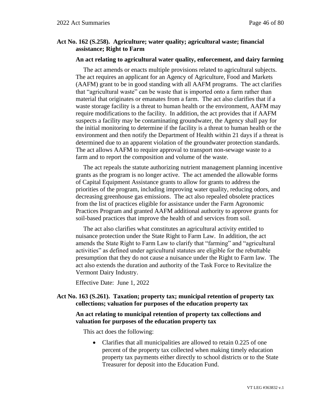## **Act No. 162 (S.258). Agriculture; water quality; agricultural waste; financial assistance; Right to Farm**

#### **An act relating to agricultural water quality, enforcement, and dairy farming**

The act amends or enacts multiple provisions related to agricultural subjects. The act requires an applicant for an Agency of Agriculture, Food and Markets (AAFM) grant to be in good standing with all AAFM programs. The act clarifies that "agricultural waste" can be waste that is imported onto a farm rather than material that originates or emanates from a farm. The act also clarifies that if a waste storage facility is a threat to human health or the environment, AAFM may require modifications to the facility. In addition, the act provides that if AAFM suspects a facility may be contaminating groundwater, the Agency shall pay for the initial monitoring to determine if the facility is a threat to human health or the environment and then notify the Department of Health within 21 days if a threat is determined due to an apparent violation of the groundwater protection standards. The act allows AAFM to require approval to transport non-sewage waste to a farm and to report the composition and volume of the waste.

The act repeals the statute authorizing nutrient management planning incentive grants as the program is no longer active. The act amended the allowable forms of Capital Equipment Assistance grants to allow for grants to address the priorities of the program, including improving water quality, reducing odors, and decreasing greenhouse gas emissions. The act also repealed obsolete practices from the list of practices eligible for assistance under the Farm Agronomic Practices Program and granted AAFM additional authority to approve grants for soil-based practices that improve the health of and services from soil.

The act also clarifies what constitutes an agricultural activity entitled to nuisance protection under the State Right to Farm Law. In addition, the act amends the State Right to Farm Law to clarify that "farming" and "agricultural activities" as defined under agricultural statutes are eligible for the rebuttable presumption that they do not cause a nuisance under the Right to Farm law. The act also extends the duration and authority of the Task Force to Revitalize the Vermont Dairy Industry.

Effective Date: June 1, 2022

## **Act No. 163 (S.261). Taxation; property tax; municipal retention of property tax collections; valuation for purposes of the education property tax**

### **An act relating to municipal retention of property tax collections and valuation for purposes of the education property tax**

This act does the following:

• Clarifies that all municipalities are allowed to retain 0.225 of one percent of the property tax collected when making timely education property tax payments either directly to school districts or to the State Treasurer for deposit into the Education Fund.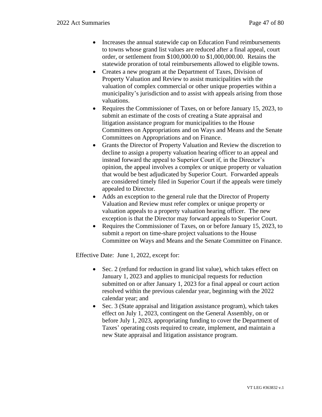- Increases the annual statewide cap on Education Fund reimbursements to towns whose grand list values are reduced after a final appeal, court order, or settlement from \$100,000.00 to \$1,000,000.00. Retains the statewide proration of total reimbursements allowed to eligible towns.
- Creates a new program at the Department of Taxes, Division of Property Valuation and Review to assist municipalities with the valuation of complex commercial or other unique properties within a municipality's jurisdiction and to assist with appeals arising from those valuations.
- Requires the Commissioner of Taxes, on or before January 15, 2023, to submit an estimate of the costs of creating a State appraisal and litigation assistance program for municipalities to the House Committees on Appropriations and on Ways and Means and the Senate Committees on Appropriations and on Finance.
- Grants the Director of Property Valuation and Review the discretion to decline to assign a property valuation hearing officer to an appeal and instead forward the appeal to Superior Court if, in the Director's opinion, the appeal involves a complex or unique property or valuation that would be best adjudicated by Superior Court. Forwarded appeals are considered timely filed in Superior Court if the appeals were timely appealed to Director.
- Adds an exception to the general rule that the Director of Property Valuation and Review must refer complex or unique property or valuation appeals to a property valuation hearing officer. The new exception is that the Director may forward appeals to Superior Court.
- Requires the Commissioner of Taxes, on or before January 15, 2023, to submit a report on time-share project valuations to the House Committee on Ways and Means and the Senate Committee on Finance.

Effective Date: June 1, 2022, except for:

- Sec. 2 (refund for reduction in grand list value), which takes effect on January 1, 2023 and applies to municipal requests for reduction submitted on or after January 1, 2023 for a final appeal or court action resolved within the previous calendar year, beginning with the 2022 calendar year; and
- Sec. 3 (State appraisal and litigation assistance program), which takes effect on July 1, 2023, contingent on the General Assembly, on or before July 1, 2023, appropriating funding to cover the Department of Taxes' operating costs required to create, implement, and maintain a new State appraisal and litigation assistance program.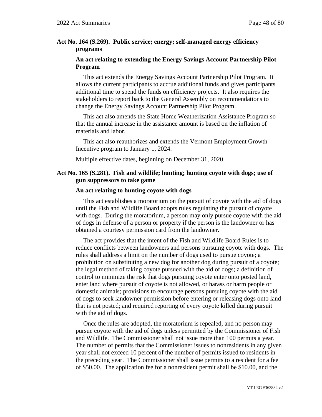## **Act No. 164 (S.269). Public service; energy; self-managed energy efficiency programs**

## **An act relating to extending the Energy Savings Account Partnership Pilot Program**

This act extends the Energy Savings Account Partnership Pilot Program. It allows the current participants to accrue additional funds and gives participants additional time to spend the funds on efficiency projects. It also requires the stakeholders to report back to the General Assembly on recommendations to change the Energy Savings Account Partnership Pilot Program.

This act also amends the State Home Weatherization Assistance Program so that the annual increase in the assistance amount is based on the inflation of materials and labor.

This act also reauthorizes and extends the Vermont Employment Growth Incentive program to January 1, 2024.

Multiple effective dates, beginning on December 31, 2020

## **Act No. 165 (S.281). Fish and wildlife; hunting; hunting coyote with dogs; use of gun suppressors to take game**

#### **An act relating to hunting coyote with dogs**

This act establishes a moratorium on the pursuit of coyote with the aid of dogs until the Fish and Wildlife Board adopts rules regulating the pursuit of coyote with dogs. During the moratorium, a person may only pursue coyote with the aid of dogs in defense of a person or property if the person is the landowner or has obtained a courtesy permission card from the landowner.

The act provides that the intent of the Fish and Wildlife Board Rules is to reduce conflicts between landowners and persons pursuing coyote with dogs. The rules shall address a limit on the number of dogs used to pursue coyote; a prohibition on substituting a new dog for another dog during pursuit of a coyote; the legal method of taking coyote pursued with the aid of dogs; a definition of control to minimize the risk that dogs pursuing coyote enter onto posted land, enter land where pursuit of coyote is not allowed, or harass or harm people or domestic animals; provisions to encourage persons pursuing coyote with the aid of dogs to seek landowner permission before entering or releasing dogs onto land that is not posted; and required reporting of every coyote killed during pursuit with the aid of dogs.

Once the rules are adopted, the moratorium is repealed, and no person may pursue coyote with the aid of dogs unless permitted by the Commissioner of Fish and Wildlife. The Commissioner shall not issue more than 100 permits a year. The number of permits that the Commissioner issues to nonresidents in any given year shall not exceed 10 percent of the number of permits issued to residents in the preceding year. The Commissioner shall issue permits to a resident for a fee of \$50.00. The application fee for a nonresident permit shall be \$10.00, and the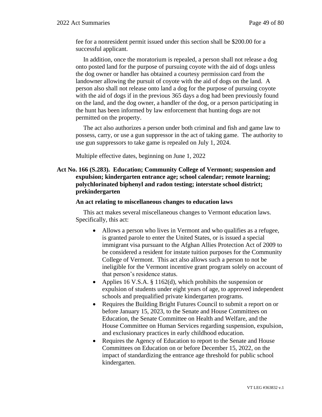fee for a nonresident permit issued under this section shall be \$200.00 for a successful applicant.

In addition, once the moratorium is repealed, a person shall not release a dog onto posted land for the purpose of pursuing coyote with the aid of dogs unless the dog owner or handler has obtained a courtesy permission card from the landowner allowing the pursuit of coyote with the aid of dogs on the land. A person also shall not release onto land a dog for the purpose of pursuing coyote with the aid of dogs if in the previous 365 days a dog had been previously found on the land, and the dog owner, a handler of the dog, or a person participating in the hunt has been informed by law enforcement that hunting dogs are not permitted on the property.

The act also authorizes a person under both criminal and fish and game law to possess, carry, or use a gun suppressor in the act of taking game. The authority to use gun suppressors to take game is repealed on July 1, 2024.

Multiple effective dates, beginning on June 1, 2022

## **Act No. 166 (S.283). Education; Community College of Vermont; suspension and expulsion; kindergarten entrance age; school calendar; remote learning; polychlorinated biphenyl and radon testing; interstate school district; prekindergarten**

#### **An act relating to miscellaneous changes to education laws**

This act makes several miscellaneous changes to Vermont education laws. Specifically, this act:

- Allows a person who lives in Vermont and who qualifies as a refugee, is granted parole to enter the United States, or is issued a special immigrant visa pursuant to the Afghan Allies Protection Act of 2009 to be considered a resident for instate tuition purposes for the Community College of Vermont. This act also allows such a person to not be ineligible for the Vermont incentive grant program solely on account of that person's residence status.
- Applies 16 V.S.A. § 1162(d), which prohibits the suspension or expulsion of students under eight years of age, to approved independent schools and prequalified private kindergarten programs.
- Requires the Building Bright Futures Council to submit a report on or before January 15, 2023, to the Senate and House Committees on Education, the Senate Committee on Health and Welfare, and the House Committee on Human Services regarding suspension, expulsion, and exclusionary practices in early childhood education.
- Requires the Agency of Education to report to the Senate and House Committees on Education on or before December 15, 2022, on the impact of standardizing the entrance age threshold for public school kindergarten.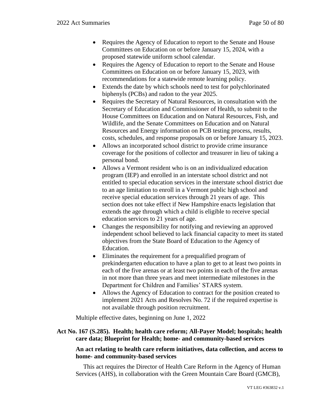- Requires the Agency of Education to report to the Senate and House Committees on Education on or before January 15, 2024, with a proposed statewide uniform school calendar.
- Requires the Agency of Education to report to the Senate and House Committees on Education on or before January 15, 2023, with recommendations for a statewide remote learning policy.
- Extends the date by which schools need to test for polychlorinated biphenyls (PCBs) and radon to the year 2025.
- Requires the Secretary of Natural Resources, in consultation with the Secretary of Education and Commissioner of Health, to submit to the House Committees on Education and on Natural Resources, Fish, and Wildlife, and the Senate Committees on Education and on Natural Resources and Energy information on PCB testing process, results, costs, schedules, and response proposals on or before January 15, 2023.
- Allows an incorporated school district to provide crime insurance coverage for the positions of collector and treasurer in lieu of taking a personal bond.
- Allows a Vermont resident who is on an individualized education program (IEP) and enrolled in an interstate school district and not entitled to special education services in the interstate school district due to an age limitation to enroll in a Vermont public high school and receive special education services through 21 years of age. This section does not take effect if New Hampshire enacts legislation that extends the age through which a child is eligible to receive special education services to 21 years of age.
- Changes the responsibility for notifying and reviewing an approved independent school believed to lack financial capacity to meet its stated objectives from the State Board of Education to the Agency of Education.
- Eliminates the requirement for a prequalified program of prekindergarten education to have a plan to get to at least two points in each of the five arenas or at least two points in each of the five arenas in not more than three years and meet intermediate milestones in the Department for Children and Families' STARS system.
- Allows the Agency of Education to contract for the position created to implement 2021 Acts and Resolves No. 72 if the required expertise is not available through position recruitment.

Multiple effective dates, beginning on June 1, 2022

## **Act No. 167 (S.285). Health; health care reform; All-Payer Model; hospitals; health care data; Blueprint for Health; home- and community-based services**

## **An act relating to health care reform initiatives, data collection, and access to home- and community-based services**

This act requires the Director of Health Care Reform in the Agency of Human Services (AHS), in collaboration with the Green Mountain Care Board (GMCB),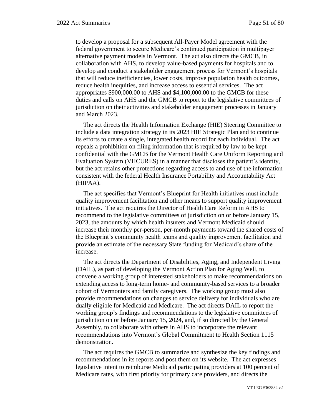to develop a proposal for a subsequent All-Payer Model agreement with the federal government to secure Medicare's continued participation in multipayer alternative payment models in Vermont. The act also directs the GMCB, in collaboration with AHS, to develop value-based payments for hospitals and to develop and conduct a stakeholder engagement process for Vermont's hospitals that will reduce inefficiencies, lower costs, improve population health outcomes, reduce health inequities, and increase access to essential services. The act appropriates \$900,000.00 to AHS and \$4,100,000.00 to the GMCB for these duties and calls on AHS and the GMCB to report to the legislative committees of jurisdiction on their activities and stakeholder engagement processes in January and March 2023.

The act directs the Health Information Exchange (HIE) Steering Committee to include a data integration strategy in its 2023 HIE Strategic Plan and to continue its efforts to create a single, integrated health record for each individual. The act repeals a prohibition on filing information that is required by law to be kept confidential with the GMCB for the Vermont Health Care Uniform Reporting and Evaluation System (VHCURES) in a manner that discloses the patient's identity, but the act retains other protections regarding access to and use of the information consistent with the federal Health Insurance Portability and Accountability Act (HIPAA).

The act specifies that Vermont's Blueprint for Health initiatives must include quality improvement facilitation and other means to support quality improvement initiatives. The act requires the Director of Health Care Reform in AHS to recommend to the legislative committees of jurisdiction on or before January 15, 2023, the amounts by which health insurers and Vermont Medicaid should increase their monthly per-person, per-month payments toward the shared costs of the Blueprint's community health teams and quality improvement facilitation and provide an estimate of the necessary State funding for Medicaid's share of the increase.

The act directs the Department of Disabilities, Aging, and Independent Living (DAIL), as part of developing the Vermont Action Plan for Aging Well, to convene a working group of interested stakeholders to make recommendations on extending access to long-term home- and community-based services to a broader cohort of Vermonters and family caregivers. The working group must also provide recommendations on changes to service delivery for individuals who are dually eligible for Medicaid and Medicare. The act directs DAIL to report the working group's findings and recommendations to the legislative committees of jurisdiction on or before January 15, 2024, and, if so directed by the General Assembly, to collaborate with others in AHS to incorporate the relevant recommendations into Vermont's Global Commitment to Health Section 1115 demonstration.

The act requires the GMCB to summarize and synthesize the key findings and recommendations in its reports and post them on its website. The act expresses legislative intent to reimburse Medicaid participating providers at 100 percent of Medicare rates, with first priority for primary care providers, and directs the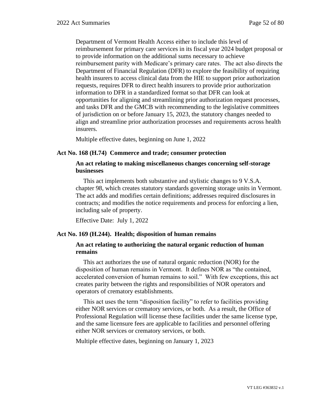Department of Vermont Health Access either to include this level of reimbursement for primary care services in its fiscal year 2024 budget proposal or to provide information on the additional sums necessary to achieve reimbursement parity with Medicare's primary care rates. The act also directs the Department of Financial Regulation (DFR) to explore the feasibility of requiring health insurers to access clinical data from the HIE to support prior authorization requests, requires DFR to direct health insurers to provide prior authorization information to DFR in a standardized format so that DFR can look at opportunities for aligning and streamlining prior authorization request processes, and tasks DFR and the GMCB with recommending to the legislative committees of jurisdiction on or before January 15, 2023, the statutory changes needed to align and streamline prior authorization processes and requirements across health insurers.

Multiple effective dates, beginning on June 1, 2022

#### **Act No. 168 (H.74) Commerce and trade; consumer protection**

### **An act relating to making miscellaneous changes concerning self-storage businesses**

This act implements both substantive and stylistic changes to 9 V.S.A. chapter 98, which creates statutory standards governing storage units in Vermont. The act adds and modifies certain definitions; addresses required disclosures in contracts; and modifies the notice requirements and process for enforcing a lien, including sale of property.

Effective Date: July 1, 2022

#### **Act No. 169 (H.244). Health; disposition of human remains**

#### **An act relating to authorizing the natural organic reduction of human remains**

This act authorizes the use of natural organic reduction (NOR) for the disposition of human remains in Vermont. It defines NOR as "the contained, accelerated conversion of human remains to soil." With few exceptions, this act creates parity between the rights and responsibilities of NOR operators and operators of crematory establishments.

This act uses the term "disposition facility" to refer to facilities providing either NOR services or crematory services, or both. As a result, the Office of Professional Regulation will license these facilities under the same license type, and the same licensure fees are applicable to facilities and personnel offering either NOR services or crematory services, or both.

Multiple effective dates, beginning on January 1, 2023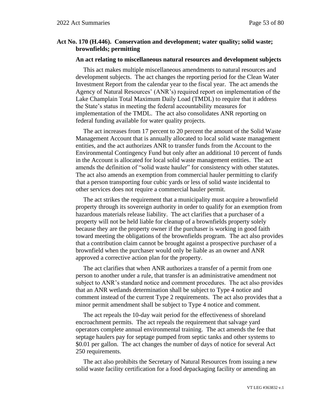## **Act No. 170 (H.446). Conservation and development; water quality; solid waste; brownfields; permitting**

#### **An act relating to miscellaneous natural resources and development subjects**

This act makes multiple miscellaneous amendments to natural resources and development subjects. The act changes the reporting period for the Clean Water Investment Report from the calendar year to the fiscal year. The act amends the Agency of Natural Resources' (ANR's) required report on implementation of the Lake Champlain Total Maximum Daily Load (TMDL) to require that it address the State's status in meeting the federal accountability measures for implementation of the TMDL. The act also consolidates ANR reporting on federal funding available for water quality projects.

The act increases from 17 percent to 20 percent the amount of the Solid Waste Management Account that is annually allocated to local solid waste management entities, and the act authorizes ANR to transfer funds from the Account to the Environmental Contingency Fund but only after an additional 10 percent of funds in the Account is allocated for local solid waste management entities. The act amends the definition of "solid waste hauler" for consistency with other statutes. The act also amends an exemption from commercial hauler permitting to clarify that a person transporting four cubic yards or less of solid waste incidental to other services does not require a commercial hauler permit.

The act strikes the requirement that a municipality must acquire a brownfield property through its sovereign authority in order to qualify for an exemption from hazardous materials release liability. The act clarifies that a purchaser of a property will not be held liable for cleanup of a brownfields property solely because they are the property owner if the purchaser is working in good faith toward meeting the obligations of the brownfields program. The act also provides that a contribution claim cannot be brought against a prospective purchaser of a brownfield when the purchaser would only be liable as an owner and ANR approved a corrective action plan for the property.

The act clarifies that when ANR authorizes a transfer of a permit from one person to another under a rule, that transfer is an administrative amendment not subject to ANR's standard notice and comment procedures. The act also provides that an ANR wetlands determination shall be subject to Type 4 notice and comment instead of the current Type 2 requirements. The act also provides that a minor permit amendment shall be subject to Type 4 notice and comment.

The act repeals the 10-day wait period for the effectiveness of shoreland encroachment permits. The act repeals the requirement that salvage yard operators complete annual environmental training. The act amends the fee that septage haulers pay for septage pumped from septic tanks and other systems to \$0.01 per gallon. The act changes the number of days of notice for several Act 250 requirements.

The act also prohibits the Secretary of Natural Resources from issuing a new solid waste facility certification for a food depackaging facility or amending an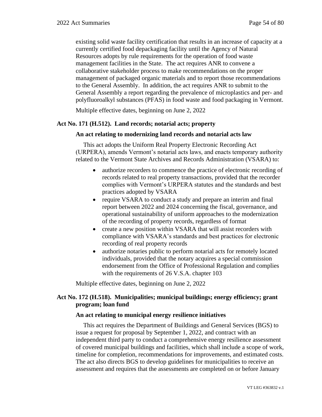existing solid waste facility certification that results in an increase of capacity at a currently certified food depackaging facility until the Agency of Natural Resources adopts by rule requirements for the operation of food waste management facilities in the State. The act requires ANR to convene a collaborative stakeholder process to make recommendations on the proper management of packaged organic materials and to report those recommendations to the General Assembly. In addition, the act requires ANR to submit to the General Assembly a report regarding the prevalence of microplastics and per- and polyfluoroalkyl substances (PFAS) in food waste and food packaging in Vermont.

Multiple effective dates, beginning on June 2, 2022

### **Act No. 171 (H.512). Land records; notarial acts; property**

#### **An act relating to modernizing land records and notarial acts law**

This act adopts the Uniform Real Property Electronic Recording Act (URPERA), amends Vermont's notarial acts laws, and enacts temporary authority related to the Vermont State Archives and Records Administration (VSARA) to:

- authorize recorders to commence the practice of electronic recording of records related to real property transactions, provided that the recorder complies with Vermont's URPERA statutes and the standards and best practices adopted by VSARA
- require VSARA to conduct a study and prepare an interim and final report between 2022 and 2024 concerning the fiscal, governance, and operational sustainability of uniform approaches to the modernization of the recording of property records, regardless of format
- create a new position within VSARA that will assist recorders with compliance with VSARA's standards and best practices for electronic recording of real property records
- authorize notaries public to perform notarial acts for remotely located individuals, provided that the notary acquires a special commission endorsement from the Office of Professional Regulation and complies with the requirements of 26 V.S.A. chapter 103

Multiple effective dates, beginning on June 2, 2022

## **Act No. 172 (H.518). Municipalities; municipal buildings; energy efficiency; grant program; loan fund**

#### **An act relating to municipal energy resilience initiatives**

This act requires the Department of Buildings and General Services (BGS) to issue a request for proposal by September 1, 2022, and contract with an independent third party to conduct a comprehensive energy resilience assessment of covered municipal buildings and facilities, which shall include a scope of work, timeline for completion, recommendations for improvements, and estimated costs. The act also directs BGS to develop guidelines for municipalities to receive an assessment and requires that the assessments are completed on or before January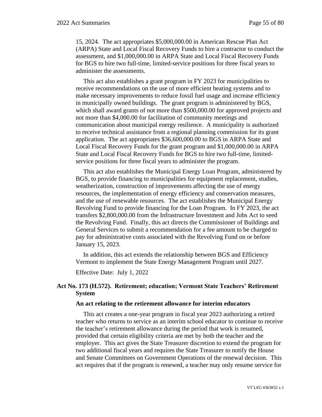15, 2024. The act appropriates \$5,000,000.00 in American Rescue Plan Act (ARPA) State and Local Fiscal Recovery Funds to hire a contractor to conduct the assessment, and \$1,000,000.00 in ARPA State and Local Fiscal Recovery Funds for BGS to hire two full-time, limited-service positions for three fiscal years to administer the assessments.

This act also establishes a grant program in FY 2023 for municipalities to receive recommendations on the use of more efficient heating systems and to make necessary improvements to reduce fossil fuel usage and increase efficiency in municipally owned buildings. The grant program is administered by BGS, which shall award grants of not more than \$500,000.00 for approved projects and not more than \$4,000.00 for facilitation of community meetings and communication about municipal energy resilience. A municipality is authorized to receive technical assistance from a regional planning commission for its grant application. The act appropriates \$36,600,000.00 to BGS in ARPA State and Local Fiscal Recovery Funds for the grant program and \$1,000,000.00 in ARPA State and Local Fiscal Recovery Funds for BGS to hire two full-time, limitedservice positions for three fiscal years to administer the program.

This act also establishes the Municipal Energy Loan Program, administered by BGS, to provide financing to municipalities for equipment replacement, studies, weatherization, construction of improvements affecting the use of energy resources, the implementation of energy efficiency and conservation measures, and the use of renewable resources. The act establishes the Municipal Energy Revolving Fund to provide financing for the Loan Program. In FY 2023, the act transfers \$2,800,000.00 from the Infrastructure Investment and Jobs Act to seed the Revolving Fund. Finally, this act directs the Commissioner of Buildings and General Services to submit a recommendation for a fee amount to be charged to pay for administrative costs associated with the Revolving Fund on or before January 15, 2023.

In addition, this act extends the relationship between BGS and Efficiency Vermont to implement the State Energy Management Program until 2027.

Effective Date: July 1, 2022

# **Act No. 173 (H.572). Retirement; education; Vermont State Teachers' Retirement System**

#### **An act relating to the retirement allowance for interim educators**

This act creates a one-year program in fiscal year 2023 authorizing a retired teacher who returns to service as an interim school educator to continue to receive the teacher's retirement allowance during the period that work is resumed, provided that certain eligibility criteria are met by both the teacher and the employer. This act gives the State Treasurer discretion to extend the program for two additional fiscal years and requires the State Treasurer to notify the House and Senate Committees on Government Operations of the renewal decision. This act requires that if the program is renewed, a teacher may only resume service for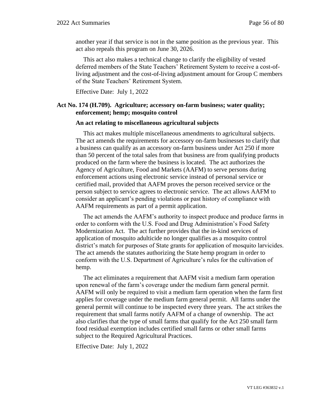another year if that service is not in the same position as the previous year. This act also repeals this program on June 30, 2026.

This act also makes a technical change to clarify the eligibility of vested deferred members of the State Teachers' Retirement System to receive a cost-ofliving adjustment and the cost-of-living adjustment amount for Group C members of the State Teachers' Retirement System.

Effective Date: July 1, 2022

## **Act No. 174 (H.709). Agriculture; accessory on-farm business; water quality; enforcement; hemp; mosquito control**

#### **An act relating to miscellaneous agricultural subjects**

This act makes multiple miscellaneous amendments to agricultural subjects. The act amends the requirements for accessory on-farm businesses to clarify that a business can qualify as an accessory on-farm business under Act 250 if more than 50 percent of the total sales from that business are from qualifying products produced on the farm where the business is located. The act authorizes the Agency of Agriculture, Food and Markets (AAFM) to serve persons during enforcement actions using electronic service instead of personal service or certified mail, provided that AAFM proves the person received service or the person subject to service agrees to electronic service. The act allows AAFM to consider an applicant's pending violations or past history of compliance with AAFM requirements as part of a permit application.

The act amends the AAFM's authority to inspect produce and produce farms in order to conform with the U.S. Food and Drug Administration's Food Safety Modernization Act. The act further provides that the in-kind services of application of mosquito adulticide no longer qualifies as a mosquito control district's match for purposes of State grants for application of mosquito larvicides. The act amends the statutes authorizing the State hemp program in order to conform with the U.S. Department of Agriculture's rules for the cultivation of hemp.

The act eliminates a requirement that AAFM visit a medium farm operation upon renewal of the farm's coverage under the medium farm general permit. AAFM will only be required to visit a medium farm operation when the farm first applies for coverage under the medium farm general permit. All farms under the general permit will continue to be inspected every three years. The act strikes the requirement that small farms notify AAFM of a change of ownership. The act also clarifies that the type of small farms that qualify for the Act 250 small farm food residual exemption includes certified small farms or other small farms subject to the Required Agricultural Practices.

Effective Date: July 1, 2022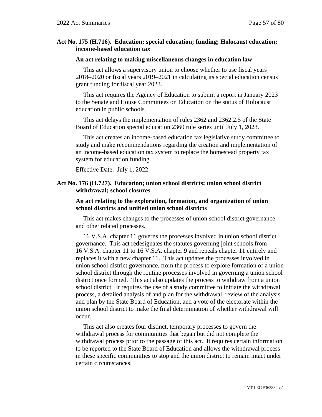## **Act No. 175 (H.716). Education; special education; funding; Holocaust education; income-based education tax**

#### **An act relating to making miscellaneous changes in education law**

This act allows a supervisory union to choose whether to use fiscal years 2018–2020 or fiscal years 2019–2021 in calculating its special education census grant funding for fiscal year 2023.

This act requires the Agency of Education to submit a report in January 2023 to the Senate and House Committees on Education on the status of Holocaust education in public schools.

This act delays the implementation of rules 2362 and 2362.2.5 of the State Board of Education special education 2360 rule series until July 1, 2023.

This act creates an income-based education tax legislative study committee to study and make recommendations regarding the creation and implementation of an income-based education tax system to replace the homestead property tax system for education funding.

Effective Date: July 1, 2022

## **Act No. 176 (H.727). Education; union school districts; union school district withdrawal; school closures**

## **An act relating to the exploration, formation, and organization of union school districts and unified union school districts**

This act makes changes to the processes of union school district governance and other related processes.

16 V.S.A. chapter 11 governs the processes involved in union school district governance. This act redesignates the statutes governing joint schools from 16 V.S.A. chapter 11 to 16 V.S.A. chapter 9 and repeals chapter 11 entirely and replaces it with a new chapter 11. This act updates the processes involved in union school district governance, from the process to explore formation of a union school district through the routine processes involved in governing a union school district once formed. This act also updates the process to withdraw from a union school district. It requires the use of a study committee to initiate the withdrawal process, a detailed analysis of and plan for the withdrawal, review of the analysis and plan by the State Board of Education, and a vote of the electorate within the union school district to make the final determination of whether withdrawal will occur.

This act also creates four distinct, temporary processes to govern the withdrawal process for communities that began but did not complete the withdrawal process prior to the passage of this act. It requires certain information to be reported to the State Board of Education and allows the withdrawal process in these specific communities to stop and the union district to remain intact under certain circumstances.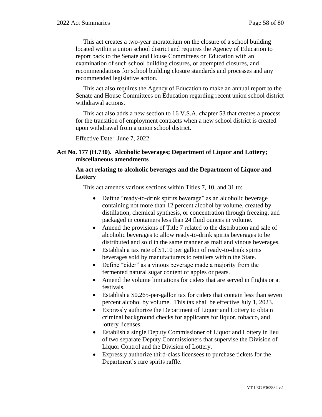This act creates a two-year moratorium on the closure of a school building located within a union school district and requires the Agency of Education to report back to the Senate and House Committees on Education with an examination of such school building closures, or attempted closures, and recommendations for school building closure standards and processes and any recommended legislative action.

This act also requires the Agency of Education to make an annual report to the Senate and House Committees on Education regarding recent union school district withdrawal actions.

This act also adds a new section to 16 V.S.A. chapter 53 that creates a process for the transition of employment contracts when a new school district is created upon withdrawal from a union school district.

Effective Date: June 7, 2022

## **Act No. 177 (H.730). Alcoholic beverages; Department of Liquor and Lottery; miscellaneous amendments**

## **An act relating to alcoholic beverages and the Department of Liquor and Lottery**

This act amends various sections within Titles 7, 10, and 31 to:

- Define "ready-to-drink spirits beverage" as an alcoholic beverage containing not more than 12 percent alcohol by volume, created by distillation, chemical synthesis, or concentration through freezing, and packaged in containers less than 24 fluid ounces in volume.
- Amend the provisions of Title 7 related to the distribution and sale of alcoholic beverages to allow ready-to-drink spirits beverages to be distributed and sold in the same manner as malt and vinous beverages.
- Establish a tax rate of \$1.10 per gallon of ready-to-drink spirits beverages sold by manufacturers to retailers within the State.
- Define "cider" as a vinous beverage made a majority from the fermented natural sugar content of apples or pears.
- Amend the volume limitations for ciders that are served in flights or at festivals.
- Establish a \$0.265-per-gallon tax for ciders that contain less than seven percent alcohol by volume. This tax shall be effective July 1, 2023.
- Expressly authorize the Department of Liquor and Lottery to obtain criminal background checks for applicants for liquor, tobacco, and lottery licenses.
- Establish a single Deputy Commissioner of Liquor and Lottery in lieu of two separate Deputy Commissioners that supervise the Division of Liquor Control and the Division of Lottery.
- Expressly authorize third-class licensees to purchase tickets for the Department's rare spirits raffle.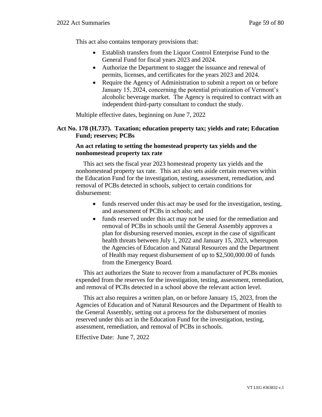This act also contains temporary provisions that:

- Establish transfers from the Liquor Control Enterprise Fund to the General Fund for fiscal years 2023 and 2024.
- Authorize the Department to stagger the issuance and renewal of permits, licenses, and certificates for the years 2023 and 2024.
- Require the Agency of Administration to submit a report on or before January 15, 2024, concerning the potential privatization of Vermont's alcoholic beverage market. The Agency is required to contract with an independent third-party consultant to conduct the study.

Multiple effective dates, beginning on June 7, 2022

# **Act No. 178 (H.737). Taxation; education property tax; yields and rate; Education Fund; reserves; PCBs**

## **An act relating to setting the homestead property tax yields and the nonhomestead property tax rate**

This act sets the fiscal year 2023 homestead property tax yields and the nonhomestead property tax rate. This act also sets aside certain reserves within the Education Fund for the investigation, testing, assessment, remediation, and removal of PCBs detected in schools, subject to certain conditions for disbursement:

- funds reserved under this act may be used for the investigation, testing, and assessment of PCBs in schools; and
- funds reserved under this act may not be used for the remediation and removal of PCBs in schools until the General Assembly approves a plan for disbursing reserved monies, except in the case of significant health threats between July 1, 2022 and January 15, 2023, whereupon the Agencies of Education and Natural Resources and the Department of Health may request disbursement of up to \$2,500,000.00 of funds from the Emergency Board.

This act authorizes the State to recover from a manufacturer of PCBs monies expended from the reserves for the investigation, testing, assessment, remediation, and removal of PCBs detected in a school above the relevant action level.

This act also requires a written plan, on or before January 15, 2023, from the Agencies of Education and of Natural Resources and the Department of Health to the General Assembly, setting out a process for the disbursement of monies reserved under this act in the Education Fund for the investigation, testing, assessment, remediation, and removal of PCBs in schools.

Effective Date: June 7, 2022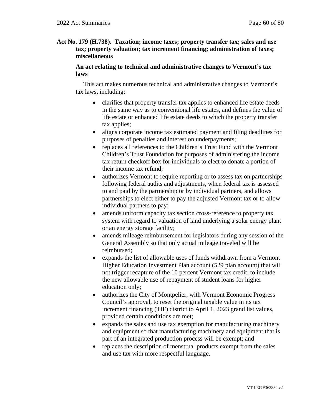## **Act No. 179 (H.738). Taxation; income taxes; property transfer tax; sales and use tax; property valuation; tax increment financing; administration of taxes; miscellaneous**

## **An act relating to technical and administrative changes to Vermont's tax laws**

This act makes numerous technical and administrative changes to Vermont's tax laws, including:

- clarifies that property transfer tax applies to enhanced life estate deeds in the same way as to conventional life estates, and defines the value of life estate or enhanced life estate deeds to which the property transfer tax applies;
- aligns corporate income tax estimated payment and filing deadlines for purposes of penalties and interest on underpayments;
- replaces all references to the Children's Trust Fund with the Vermont Children's Trust Foundation for purposes of administering the income tax return checkoff box for individuals to elect to donate a portion of their income tax refund;
- authorizes Vermont to require reporting or to assess tax on partnerships following federal audits and adjustments, when federal tax is assessed to and paid by the partnership or by individual partners, and allows partnerships to elect either to pay the adjusted Vermont tax or to allow individual partners to pay;
- amends uniform capacity tax section cross-reference to property tax system with regard to valuation of land underlying a solar energy plant or an energy storage facility;
- amends mileage reimbursement for legislators during any session of the General Assembly so that only actual mileage traveled will be reimbursed;
- expands the list of allowable uses of funds withdrawn from a Vermont Higher Education Investment Plan account (529 plan account) that will not trigger recapture of the 10 percent Vermont tax credit, to include the new allowable use of repayment of student loans for higher education only;
- authorizes the City of Montpelier, with Vermont Economic Progress Council's approval, to reset the original taxable value in its tax increment financing (TIF) district to April 1, 2023 grand list values, provided certain conditions are met;
- expands the sales and use tax exemption for manufacturing machinery and equipment so that manufacturing machinery and equipment that is part of an integrated production process will be exempt; and
- replaces the description of menstrual products exempt from the sales and use tax with more respectful language.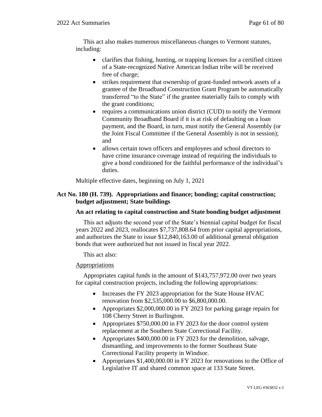This act also makes numerous miscellaneous changes to Vermont statutes, including:

- clarifies that fishing, hunting, or trapping licenses for a certified citizen of a State-recognized Native American Indian tribe will be received free of charge;
- strikes requirement that ownership of grant-funded network assets of a grantee of the Broadband Construction Grant Program be automatically transferred "to the State" if the grantee materially fails to comply with the grant conditions;
- requires a communications union district (CUD) to notify the Vermont Community Broadband Board if it is at risk of defaulting on a loan payment, and the Board, in turn, must notify the General Assembly (or the Joint Fiscal Committee if the General Assembly is not in session); and
- allows certain town officers and employees and school directors to have crime insurance coverage instead of requiring the individuals to give a bond conditioned for the faithful performance of the individual's duties.

Multiple effective dates, beginning on July 1, 2021

## **Act No. 180 (H. 739). Appropriations and finance; bonding; capital construction; budget adjustment; State buildings**

## **An act relating to capital construction and State bonding budget adjustment**

This act adjusts the second year of the State's biennial capital budget for fiscal years 2022 and 2023, reallocates \$7,737,808.64 from prior capital appropriations, and authorizes the State to issue \$12,840,163.00 of additional general obligation bonds that were authorized but not issued in fiscal year 2022.

This act also:

#### Appropriations

Appropriates capital funds in the amount of \$143,757,972.00 over two years for capital construction projects, including the following appropriations:

- Increases the FY 2023 appropriation for the State House HVAC renovation from \$2,535,000.00 to \$6,800,000.00.
- Appropriates \$2,000,000.00 in FY 2023 for parking garage repairs for 108 Cherry Street in Burlington.
- Appropriates \$750,000.00 in FY 2023 for the door control system replacement at the Southern State Correctional Facility.
- Appropriates \$400,000.00 in FY 2023 for the demolition, salvage, dismantling, and improvements to the former Southeast State Correctional Facility property in Windsor.
- Appropriates \$1,400,000.00 in FY 2023 for renovations to the Office of Legislative IT and shared common space at 133 State Street.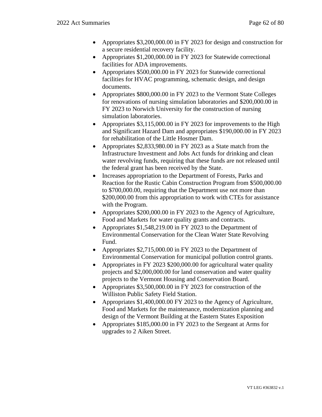- Appropriates \$3,200,000.00 in FY 2023 for design and construction for a secure residential recovery facility.
- Appropriates \$1,200,000.00 in FY 2023 for Statewide correctional facilities for ADA improvements.
- Appropriates \$500,000.00 in FY 2023 for Statewide correctional facilities for HVAC programming, schematic design, and design documents.
- Appropriates \$800,000.00 in FY 2023 to the Vermont State Colleges for renovations of nursing simulation laboratories and \$200,000.00 in FY 2023 to Norwich University for the construction of nursing simulation laboratories.
- Appropriates \$3,115,000.00 in FY 2023 for improvements to the High and Significant Hazard Dam and appropriates \$190,000.00 in FY 2023 for rehabilitation of the Little Hosmer Dam.
- Appropriates \$2,833,980.00 in FY 2023 as a State match from the Infrastructure Investment and Jobs Act funds for drinking and clean water revolving funds, requiring that these funds are not released until the federal grant has been received by the State.
- Increases appropriation to the Department of Forests, Parks and Reaction for the Rustic Cabin Construction Program from \$500,000.00 to \$700,000.00, requiring that the Department use not more than \$200,000.00 from this appropriation to work with CTEs for assistance with the Program.
- Appropriates \$200,000.00 in FY 2023 to the Agency of Agriculture, Food and Markets for water quality grants and contracts.
- Appropriates \$1,548,219.00 in FY 2023 to the Department of Environmental Conservation for the Clean Water State Revolving Fund.
- Appropriates \$2,715,000.00 in FY 2023 to the Department of Environmental Conservation for municipal pollution control grants.
- Appropriates in FY 2023 \$200,000.00 for agricultural water quality projects and \$2,000,000.00 for land conservation and water quality projects to the Vermont Housing and Conservation Board.
- Appropriates \$3,500,000.00 in FY 2023 for construction of the Williston Public Safety Field Station.
- Appropriates \$1,400,000,00 FY 2023 to the Agency of Agriculture. Food and Markets for the maintenance, modernization planning and design of the Vermont Building at the Eastern States Exposition
- Appropriates \$185,000.00 in FY 2023 to the Sergeant at Arms for upgrades to 2 Aiken Street.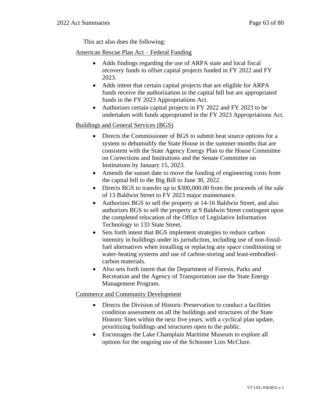This act also does the following:

## American Rescue Plan Act – Federal Funding

- Adds findings regarding the use of ARPA state and local fiscal recovery funds to offset capital projects funded in FY 2022 and FY 2023.
- Adds intent that certain capital projects that are eligible for ARPA funds receive the authorization in the capital bill but are appropriated funds in the FY 2023 Appropriations Act.
- Authorizes certain capital projects in FY 2022 and FY 2023 to be undertaken with funds appropriated in the FY 2023 Appropriations Act.

## Buildings and General Services (BGS)

- Directs the Commissioner of BGS to submit heat source options for a system to dehumidify the State House in the summer months that are consistent with the State Agency Energy Plan to the House Committee on Corrections and Institutions and the Senate Committee on Institutions by January 15, 2023.
- Amends the sunset date to move the funding of engineering costs from the capital bill to the Big Bill to June 30, 2022.
- Directs BGS to transfer up to \$300,000.00 from the proceeds of the sale of 13 Baldwin Street to FY 2023 major maintenance.
- Authorizes BGS to sell the property at 14-16 Baldwin Street, and also authorizes BGS to sell the property at 9 Baldwin Street contingent upon the completed relocation of the Office of Legislative Information Technology to 133 State Street.
- Sets forth intent that BGS implement strategies to reduce carbon intensity in buildings under its jurisdiction, including use of non-fossilfuel alternatives when installing or replacing any space conditioning or water-heating systems and use of carbon-storing and least-embodiedcarbon materials.
- Also sets forth intent that the Department of Forests, Parks and Recreation and the Agency of Transportation use the State Energy Management Program.

# Commerce and Community Development

- Directs the Division of Historic Preservation to conduct a facilities condition assessment on all the buildings and structures of the State Historic Sites within the next five years, with a cyclical plan update, prioritizing buildings and structures open to the public.
- Encourages the Lake Champlain Maritime Museum to explore all options for the ongoing use of the Schooner Lois McClure.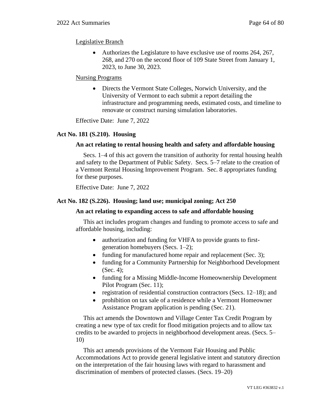## Legislative Branch

• Authorizes the Legislature to have exclusive use of rooms 264, 267, 268, and 270 on the second floor of 109 State Street from January 1, 2023, to June 30, 2023.

### Nursing Programs

• Directs the Vermont State Colleges, Norwich University, and the University of Vermont to each submit a report detailing the infrastructure and programming needs, estimated costs, and timeline to renovate or construct nursing simulation laboratories.

Effective Date: June 7, 2022

## **Act No. 181 (S.210). Housing**

### **An act relating to rental housing health and safety and affordable housing**

Secs. 1–4 of this act govern the transition of authority for rental housing health and safety to the Department of Public Safety. Secs. 5–7 relate to the creation of a Vermont Rental Housing Improvement Program. Sec. 8 appropriates funding for these purposes.

Effective Date: June 7, 2022

## **Act No. 182 (S.226). Housing; land use; municipal zoning; Act 250**

#### **An act relating to expanding access to safe and affordable housing**

This act includes program changes and funding to promote access to safe and affordable housing, including:

- authorization and funding for VHFA to provide grants to firstgeneration homebuyers (Secs. 1–2);
- funding for manufactured home repair and replacement (Sec. 3);
- funding for a Community Partnership for Neighborhood Development (Sec. 4);
- funding for a Missing Middle-Income Homeownership Development Pilot Program (Sec. 11);
- registration of residential construction contractors (Secs. 12–18); and
- prohibition on tax sale of a residence while a Vermont Homeowner Assistance Program application is pending (Sec. 21).

This act amends the Downtown and Village Center Tax Credit Program by creating a new type of tax credit for flood mitigation projects and to allow tax credits to be awarded to projects in neighborhood development areas. (Secs. 5– 10)

This act amends provisions of the Vermont Fair Housing and Public Accommodations Act to provide general legislative intent and statutory direction on the interpretation of the fair housing laws with regard to harassment and discrimination of members of protected classes. (Secs. 19–20)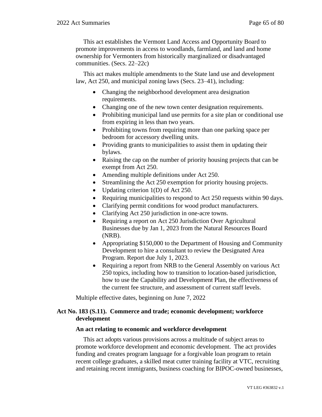This act establishes the Vermont Land Access and Opportunity Board to promote improvements in access to woodlands, farmland, and land and home ownership for Vermonters from historically marginalized or disadvantaged communities. (Secs. 22–22c)

This act makes multiple amendments to the State land use and development law, Act 250, and municipal zoning laws (Secs. 23–41), including:

- Changing the neighborhood development area designation requirements.
- Changing one of the new town center designation requirements.
- Prohibiting municipal land use permits for a site plan or conditional use from expiring in less than two years.
- Prohibiting towns from requiring more than one parking space per bedroom for accessory dwelling units.
- Providing grants to municipalities to assist them in updating their bylaws.
- Raising the cap on the number of priority housing projects that can be exempt from Act 250.
- Amending multiple definitions under Act 250.
- Streamlining the Act 250 exemption for priority housing projects.
- Updating criterion 1(D) of Act 250.
- Requiring municipalities to respond to Act 250 requests within 90 days.
- Clarifying permit conditions for wood product manufacturers.
- Clarifying Act 250 jurisdiction in one-acre towns.
- Requiring a report on Act 250 Jurisdiction Over Agricultural Businesses due by Jan 1, 2023 from the Natural Resources Board (NRB).
- Appropriating \$150,000 to the Department of Housing and Community Development to hire a consultant to review the Designated Area Program. Report due July 1, 2023.
- Requiring a report from NRB to the General Assembly on various Act 250 topics, including how to transition to location-based jurisdiction, how to use the Capability and Development Plan, the effectiveness of the current fee structure, and assessment of current staff levels.

Multiple effective dates, beginning on June 7, 2022

# **Act No. 183 (S.11). Commerce and trade; economic development; workforce development**

## **An act relating to economic and workforce development**

This act adopts various provisions across a multitude of subject areas to promote workforce development and economic development. The act provides funding and creates program language for a forgivable loan program to retain recent college graduates, a skilled meat cutter training facility at VTC, recruiting and retaining recent immigrants, business coaching for BIPOC-owned businesses,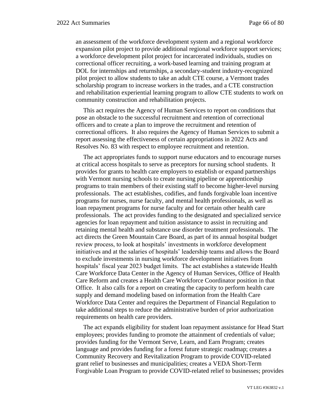an assessment of the workforce development system and a regional workforce expansion pilot project to provide additional regional workforce support services; a workforce development pilot project for incarcerated individuals, studies on correctional officer recruiting, a work-based learning and training program at DOL for internships and returnships, a secondary-student industry-recognized pilot project to allow students to take an adult CTE course, a Vermont trades scholarship program to increase workers in the trades, and a CTE construction and rehabilitation experiential learning program to allow CTE students to work on community construction and rehabilitation projects.

This act requires the Agency of Human Services to report on conditions that pose an obstacle to the successful recruitment and retention of correctional officers and to create a plan to improve the recruitment and retention of correctional officers. It also requires the Agency of Human Services to submit a report assessing the effectiveness of certain appropriations in 2022 Acts and Resolves No. 83 with respect to employee recruitment and retention.

The act appropriates funds to support nurse educators and to encourage nurses at critical access hospitals to serve as preceptors for nursing school students. It provides for grants to health care employers to establish or expand partnerships with Vermont nursing schools to create nursing pipeline or apprenticeship programs to train members of their existing staff to become higher-level nursing professionals. The act establishes, codifies, and funds forgivable loan incentive programs for nurses, nurse faculty, and mental health professionals, as well as loan repayment programs for nurse faculty and for certain other health care professionals. The act provides funding to the designated and specialized service agencies for loan repayment and tuition assistance to assist in recruiting and retaining mental health and substance use disorder treatment professionals. The act directs the Green Mountain Care Board, as part of its annual hospital budget review process, to look at hospitals' investments in workforce development initiatives and at the salaries of hospitals' leadership teams and allows the Board to exclude investments in nursing workforce development initiatives from hospitals' fiscal year 2023 budget limits. The act establishes a statewide Health Care Workforce Data Center in the Agency of Human Services, Office of Health Care Reform and creates a Health Care Workforce Coordinator position in that Office. It also calls for a report on creating the capacity to perform health care supply and demand modeling based on information from the Health Care Workforce Data Center and requires the Department of Financial Regulation to take additional steps to reduce the administrative burden of prior authorization requirements on health care providers.

The act expands eligibility for student loan repayment assistance for Head Start employees; provides funding to promote the attainment of credentials of value; provides funding for the Vermont Serve, Learn, and Earn Program; creates language and provides funding for a forest future strategic roadmap; creates a Community Recovery and Revitalization Program to provide COVID-related grant relief to businesses and municipalities; creates a VEDA Short-Term Forgivable Loan Program to provide COVID-related relief to businesses; provides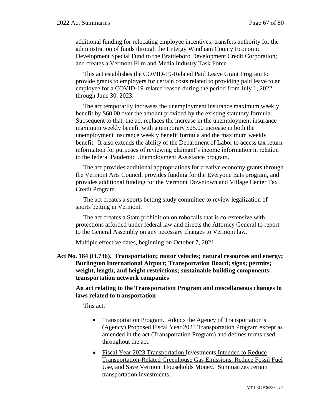additional funding for relocating employee incentives; transfers authority for the administration of funds through the Entergy Windham County Economic Development Special Fund to the Brattleboro Development Credit Corporation; and creates a Vermont Film and Media Industry Task Force.

This act establishes the COVID-19-Related Paid Leave Grant Program to provide grants to employers for certain costs related to providing paid leave to an employee for a COVID-19-related reason during the period from July 1, 2022 through June 30, 2023.

The act temporarily increases the unemployment insurance maximum weekly benefit by \$60.00 over the amount provided by the existing statutory formula. Subsequent to that, the act replaces the increase in the unemployment insurance maximum weekly benefit with a temporary \$25.00 increase in both the unemployment insurance weekly benefit formula and the maximum weekly benefit. It also extends the ability of the Department of Labor to access tax return information for purposes of reviewing claimant's income information in relation to the federal Pandemic Unemployment Assistance program.

The act provides additional appropriations for creative economy grants through the Vermont Arts Council, provides funding for the Everyone Eats program, and provides additional funding for the Vermont Downtown and Village Center Tax Credit Program.

The act creates a sports betting study committee to review legalization of sports betting in Vermont.

The act creates a State prohibition on robocalls that is co-extensive with protections afforded under federal law and directs the Attorney General to report to the General Assembly on any necessary changes to Vermont law.

Multiple effective dates, beginning on October 7, 2021

## **Act No. 184 (H.736). Transportation; motor vehicles; natural resources and energy; Burlington International Airport; Transportation Board; signs; permits; weight, length, and height restrictions; sustainable building components; transportation network companies**

**An act relating to the Transportation Program and miscellaneous changes to laws related to transportation**

This act:

- Transportation Program.Adopts the Agency of Transportation's (Agency) Proposed Fiscal Year 2023 Transportation Program except as amended in the act (Transportation Program) and defines terms used throughout the act.
- Fiscal Year 2023 Transportation Investments Intended to Reduce Transportation-Related Greenhouse Gas Emissions, Reduce Fossil Fuel Use, and Save Vermont Households Money. Summarizes certain transportation investments.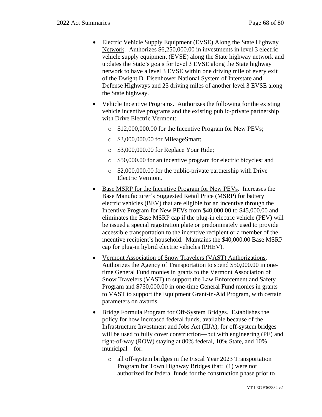- Electric Vehicle Supply Equipment (EVSE) Along the State Highway Network.Authorizes \$6,250,000.00 in investments in level 3 electric vehicle supply equipment (EVSE) along the State highway network and updates the State's goals for level 3 EVSE along the State highway network to have a level 3 EVSE within one driving mile of every exit of the Dwight D. Eisenhower National System of Interstate and Defense Highways and 25 driving miles of another level 3 EVSE along the State highway.
- Vehicle Incentive Programs. Authorizes the following for the existing vehicle incentive programs and the existing public-private partnership with Drive Electric Vermont:
	- $\circ$  \$12,000,000.00 for the Incentive Program for New PEVs;
	- o \$3,000,000.00 for MileageSmart;
	- o \$3,000,000.00 for Replace Your Ride;
	- o \$50,000.00 for an incentive program for electric bicycles; and
	- o \$2,000,000.00 for the public-private partnership with Drive Electric Vermont.
- Base MSRP for the Incentive Program for New PEVs.Increases the Base Manufacturer's Suggested Retail Price (MSRP) for battery electric vehicles (BEV) that are eligible for an incentive through the Incentive Program for New PEVs from \$40,000.00 to \$45,000.00 and eliminates the Base MSRP cap if the plug-in electric vehicle (PEV) will be issued a special registration plate or predominately used to provide accessible transportation to the incentive recipient or a member of the incentive recipient's household. Maintains the \$40,000.00 Base MSRP cap for plug-in hybrid electric vehicles (PHEV).
- Vermont Association of Snow Travelers (VAST) Authorizations. Authorizes the Agency of Transportation to spend \$50,000.00 in onetime General Fund monies in grants to the Vermont Association of Snow Travelers (VAST) to support the Law Enforcement and Safety Program and \$750,000.00 in one-time General Fund monies in grants to VAST to support the Equipment Grant-in-Aid Program, with certain parameters on awards.
- Bridge Formula Program for Off-System Bridges.Establishes the policy for how increased federal funds, available because of the Infrastructure Investment and Jobs Act (IIJA), for off-system bridges will be used to fully cover construction—but with engineering (PE) and right-of-way (ROW) staying at 80% federal, 10% State, and 10% municipal—for:
	- o all off-system bridges in the Fiscal Year 2023 Transportation Program for Town Highway Bridges that: (1) were not authorized for federal funds for the construction phase prior to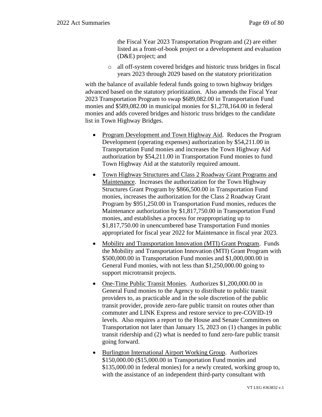the Fiscal Year 2023 Transportation Program and (2) are either listed as a front-of-book project or a development and evaluation (D&E) project; and

o all off-system covered bridges and historic truss bridges in fiscal years 2023 through 2029 based on the statutory prioritization

with the balance of available federal funds going to town highway bridges advanced based on the statutory prioritization. Also amends the Fiscal Year 2023 Transportation Program to swap \$689,082.00 in Transportation Fund monies and \$589,082.00 in municipal monies for \$1,278,164.00 in federal monies and adds covered bridges and historic truss bridges to the candidate list in Town Highway Bridges.

- Program Development and Town Highway Aid. Reduces the Program Development (operating expenses) authorization by \$54,211.00 in Transportation Fund monies and increases the Town Highway Aid authorization by \$54,211.00 in Transportation Fund monies to fund Town Highway Aid at the statutorily required amount.
- Town Highway Structures and Class 2 Roadway Grant Programs and Maintenance. Increases the authorization for the Town Highway Structures Grant Program by \$866,500.00 in Transportation Fund monies, increases the authorization for the Class 2 Roadway Grant Program by \$951,250.00 in Transportation Fund monies, reduces the Maintenance authorization by \$1,817,750.00 in Transportation Fund monies, and establishes a process for reappropriating up to \$1,817,750.00 in unencumbered base Transportation Fund monies appropriated for fiscal year 2022 for Maintenance in fiscal year 2023.
- Mobility and Transportation Innovation (MTI) Grant Program. Funds the Mobility and Transportation Innovation (MTI) Grant Program with \$500,000.00 in Transportation Fund monies and \$1,000,000.00 in General Fund monies, with not less than \$1,250,000.00 going to support microtransit projects.
- One-Time Public Transit Monies. Authorizes \$1,200,000.00 in General Fund monies to the Agency to distribute to public transit providers to, as practicable and in the sole discretion of the public transit provider, provide zero-fare public transit on routes other than commuter and LINK Express and restore service to pre-COVID-19 levels. Also requires a report to the House and Senate Committees on Transportation not later than January 15, 2023 on (1) changes in public transit ridership and (2) what is needed to fund zero-fare public transit going forward.
- Burlington International Airport Working Group. Authorizes \$150,000.00 (\$15,000.00 in Transportation Fund monies and \$135,000.00 in federal monies) for a newly created, working group to, with the assistance of an independent third-party consultant with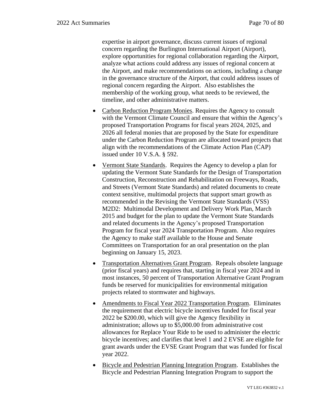expertise in airport governance, discuss current issues of regional concern regarding the Burlington International Airport (Airport), explore opportunities for regional collaboration regarding the Airport, analyze what actions could address any issues of regional concern at the Airport, and make recommendations on actions, including a change in the governance structure of the Airport, that could address issues of regional concern regarding the Airport. Also establishes the membership of the working group, what needs to be reviewed, the timeline, and other administrative matters.

- Carbon Reduction Program Monies. Requires the Agency to consult with the Vermont Climate Council and ensure that within the Agency's proposed Transportation Programs for fiscal years 2024, 2025, and 2026 all federal monies that are proposed by the State for expenditure under the Carbon Reduction Program are allocated toward projects that align with the recommendations of the Climate Action Plan (CAP) issued under 10 V.S.A. § 592.
- Vermont State Standards. Requires the Agency to develop a plan for updating the Vermont State Standards for the Design of Transportation Construction, Reconstruction and Rehabilitation on Freeways, Roads, and Streets (Vermont State Standards) and related documents to create context sensitive, multimodal projects that support smart growth as recommended in the Revising the Vermont State Standards (VSS) M2D2: Multimodal Development and Delivery Work Plan, March 2015 and budget for the plan to update the Vermont State Standards and related documents in the Agency's proposed Transportation Program for fiscal year 2024 Transportation Program. Also requires the Agency to make staff available to the House and Senate Committees on Transportation for an oral presentation on the plan beginning on January 15, 2023.
- Transportation Alternatives Grant Program. Repeals obsolete language (prior fiscal years) and requires that, starting in fiscal year 2024 and in most instances, 50 percent of Transportation Alternative Grant Program funds be reserved for municipalities for environmental mitigation projects related to stormwater and highways.
- Amendments to Fiscal Year 2022 Transportation Program. Eliminates the requirement that electric bicycle incentives funded for fiscal year 2022 be \$200.00, which will give the Agency flexibility in administration; allows up to \$5,000.00 from administrative cost allowances for Replace Your Ride to be used to administer the electric bicycle incentives; and clarifies that level 1 and 2 EVSE are eligible for grant awards under the EVSE Grant Program that was funded for fiscal year 2022.
- Bicycle and Pedestrian Planning Integration Program.Establishes the Bicycle and Pedestrian Planning Integration Program to support the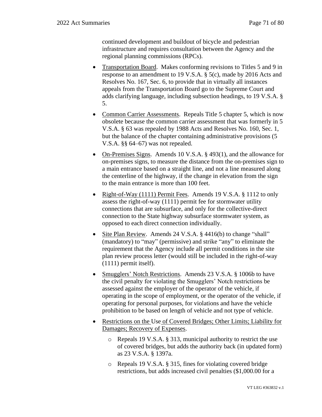continued development and buildout of bicycle and pedestrian infrastructure and requires consultation between the Agency and the regional planning commissions (RPCs).

- Transportation Board. Makes conforming revisions to Titles 5 and 9 in response to an amendment to 19 V.S.A. § 5(c), made by 2016 Acts and Resolves No. 167, Sec. 6, to provide that in virtually all instances appeals from the Transportation Board go to the Supreme Court and adds clarifying language, including subsection headings, to 19 V.S.A. § 5.
- Common Carrier Assessments. Repeals Title 5 chapter 5, which is now obsolete because the common carrier assessment that was formerly in 5 V.S.A. § 63 was repealed by 1988 Acts and Resolves No. 160, Sec. 1, but the balance of the chapter containing administrative provisions (5 V.S.A. §§ 64–67) was not repealed.
- On-Premises Signs. Amends 10 V.S.A. § 493(1), and the allowance for on-premises signs, to measure the distance from the on-premises sign to a main entrance based on a straight line, and not a line measured along the centerline of the highway, if the change in elevation from the sign to the main entrance is more than 100 feet.
- Right-of-Way (1111) Permit Fees. Amends 19 V.S.A. § 1112 to only assess the right-of-way (1111) permit fee for stormwater utility connections that are subsurface, and only for the collective-direct connection to the State highway subsurface stormwater system, as opposed to each direct connection individually.
- Site Plan Review. Amends 24 V.S.A. § 4416(b) to change "shall" (mandatory) to "may" (permissive) and strike "any" to eliminate the requirement that the Agency include all permit conditions in the site plan review process letter (would still be included in the right-of-way (1111) permit itself).
- Smugglers' Notch Restrictions. Amends 23 V.S.A. § 1006b to have the civil penalty for violating the Smugglers' Notch restrictions be assessed against the employer of the operator of the vehicle, if operating in the scope of employment, or the operator of the vehicle, if operating for personal purposes, for violations and have the vehicle prohibition to be based on length of vehicle and not type of vehicle.
- Restrictions on the Use of Covered Bridges; Other Limits; Liability for Damages; Recovery of Expenses.
	- o Repeals 19 V.S.A. § 313, municipal authority to restrict the use of covered bridges, but adds the authority back (in updated form) as 23 V.S.A. § 1397a.
	- o Repeals 19 V.S.A. § 315, fines for violating covered bridge restrictions, but adds increased civil penalties (\$1,000.00 for a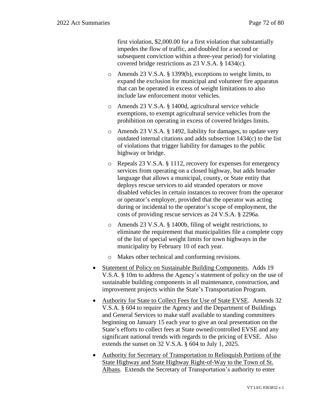first violation, \$2,000.00 for a first violation that substantially impedes the flow of traffic, and doubled for a second or subsequent conviction within a three-year period) for violating covered bridge restrictions as 23 V.S.A. § 1434(c).

- o Amends 23 V.S.A. § 1399(b), exceptions to weight limits, to expand the exclusion for municipal and volunteer fire apparatus that can be operated in excess of weight limitations to also include law enforcement motor vehicles.
- o Amends 23 V.S.A. § 1400d, agricultural service vehicle exemptions, to exempt agricultural service vehicles from the prohibition on operating in excess of covered bridges limits.
- o Amends 23 V.S.A. § 1492, liability for damages, to update very outdated internal citations and adds subsection 1434(c) to the list of violations that trigger liability for damages to the public highway or bridge.
- o Repeals 23 V.S.A. § 1112, recovery for expenses for emergency services from operating on a closed highway, but adds broader language that allows a municipal, county, or State entity that deploys rescue services to aid stranded operators or move disabled vehicles in certain instances to recover from the operator or operator's employer, provided that the operator was acting during or incidental to the operator's scope of employment, the costs of providing rescue services as 24 V.S.A. § 2296a.
- o Amends 23 V.S.A. § 1400b, filing of weight restrictions, to eliminate the requirement that municipalities file a complete copy of the list of special weight limits for town highways in the municipality by February 10 of each year.
- o Makes other technical and conforming revisions.
- Statement of Policy on Sustainable Building Components. Adds 19 V.S.A. § 10m to address the Agency's statement of policy on the use of sustainable building components in all maintenance, construction, and improvement projects within the State's Transportation Program.
- Authority for State to Collect Fees for Use of State EVSE. Amends 32 V.S.A. § 604 to require the Agency and the Department of Buildings and General Services to make staff available to standing committees beginning on January 15 each year to give an oral presentation on the State's efforts to collect fees at State owned/controlled EVSE and any significant national trends with regards to the pricing of EVSE. Also extends the sunset on 32 V.S.A. § 604 to July 1, 2025.
- Authority for Secretary of Transportation to Relinquish Portions of the State Highway and State Highway Right-of-Way to the Town of St. Albans. Extends the Secretary of Transportation's authority to enter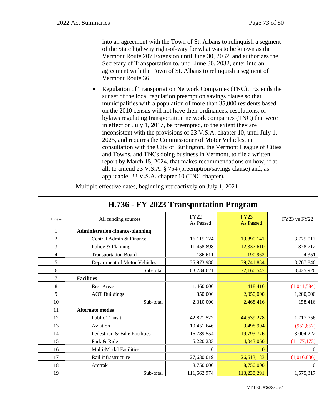Г

into an agreement with the Town of St. Albans to relinquish a segment of the State highway right-of-way for what was to be known as the Vermont Route 207 Extension until June 30, 2032, and authorizes the Secretary of Transportation to, until June 30, 2032, enter into an agreement with the Town of St. Albans to relinquish a segment of Vermont Route 36.

• Regulation of Transportation Network Companies (TNC). Extends the sunset of the local regulation preemption savings clause so that municipalities with a population of more than 35,000 residents based on the 2010 census will not have their ordinances, resolutions, or bylaws regulating transportation network companies (TNC) that were in effect on July 1, 2017, be preempted, to the extent they are inconsistent with the provisions of 23 V.S.A. chapter 10, until July 1, 2025, and requires the Commissioner of Motor Vehicles, in consultation with the City of Burlington, the Vermont League of Cities and Towns, and TNCs doing business in Vermont, to file a written report by March 15, 2024, that makes recommendations on how, if at all, to amend 23 V.S.A. § 754 (preemption/savings clause) and, as applicable, 23 V.S.A. chapter 10 (TNC chapter).

| H.736 - FY 2023 Transportation Program |                                        |                          |                                 |                |  |  |  |
|----------------------------------------|----------------------------------------|--------------------------|---------------------------------|----------------|--|--|--|
| Line #                                 | All funding sources                    | <b>FY22</b><br>As Passed | <b>FY23</b><br><b>As Passed</b> | FY23 vs FY22   |  |  |  |
| 1                                      | <b>Administration-finance-planning</b> |                          |                                 |                |  |  |  |
| 2                                      | Central Admin & Finance                | 16,115,124               | 19,890,141                      | 3,775,017      |  |  |  |
| 3                                      | Policy & Planning                      | 11,458,898               | 12,337,610                      | 878,712        |  |  |  |
| 4                                      | <b>Transportation Board</b>            | 186,611                  | 190,962                         | 4,351          |  |  |  |
| 5                                      | Department of Motor Vehicles           | 35,973,988               | 39,741,834                      | 3,767,846      |  |  |  |
| 6                                      | Sub-total                              | 63,734,621               | 72,160,547                      | 8,425,926      |  |  |  |
| 7                                      | <b>Facilities</b>                      |                          |                                 |                |  |  |  |
| 8                                      | <b>Rest Areas</b>                      | 1,460,000                | 418,416                         | (1,041,584)    |  |  |  |
| 9                                      | <b>AOT</b> Buildings                   | 850,000                  | 2,050,000                       | 1,200,000      |  |  |  |
| 10                                     | Sub-total                              | 2,310,000                | 2,468,416                       | 158,416        |  |  |  |
| 11                                     | <b>Alternate modes</b>                 |                          |                                 |                |  |  |  |
| 12                                     | <b>Public Transit</b>                  | 42,821,522               | 44,539,278                      | 1,717,756      |  |  |  |
| 13                                     | Aviation                               | 10,451,646               | 9,498,994                       | (952, 652)     |  |  |  |
| 14                                     | Pedestrian & Bike Facilities           | 16,789,554               | 19,793,776                      | 3,004,222      |  |  |  |
| 15                                     | Park & Ride                            | 5,220,233                | 4,043,060                       | (1, 177, 173)  |  |  |  |
| 16                                     | <b>Multi-Modal Facilities</b>          | $\mathbf{0}$             | $\mathbf{0}$                    | $\theta$       |  |  |  |
| 17                                     | Rail infrastructure                    | 27,630,019               | 26,613,183                      | (1,016,836)    |  |  |  |
| 18                                     | Amtrak                                 | 8,750,000                | 8,750,000                       | $\overline{0}$ |  |  |  |
| 19                                     | Sub-total                              | 111,662,974              | 113,238,291                     | 1,575,317      |  |  |  |

Multiple effective dates, beginning retroactively on July 1, 2021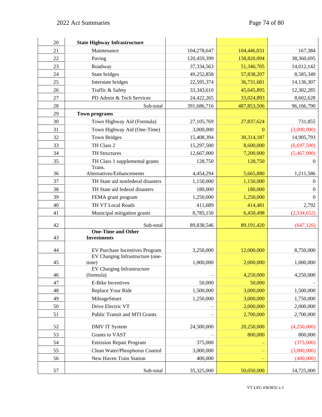| 20       | <b>State Highway Infrastructure</b>                            |              |              |                |
|----------|----------------------------------------------------------------|--------------|--------------|----------------|
| 21       | Maintenance                                                    | 104,278,647  | 104,446,031  | 167,384        |
| 22       | Paving                                                         | 120,459,399  | 158,820,094  | 38,360,695     |
| 23       | Roadway                                                        | 37, 334, 563 | 51,346,705   | 14,012,142     |
| 24       | State bridges                                                  | 49,252,858   | 57,838,207   | 8,585,349      |
| 25       | Interstate bridges                                             | 22,595,374   | 36,731,681   | 14,136,307     |
| 26       | Traffic & Safety                                               | 33,343,610   | 45,645,895   | 12,302,285     |
| 27       | PD Admin & Tech Services                                       | 24,422,265   | 33,024,893   | 8,602,628      |
| 28       | Sub-total                                                      | 391,686,716  | 487,853,506  | 96,166,790     |
| 29       | <b>Town programs</b>                                           |              |              |                |
| 30       | Town Highway Aid (Formula)                                     | 27,105,769   | 27,837,624   | 731,855        |
| 31       | Town Highway Aid (One-Time)                                    | 3,000,000    | $\mathbf{0}$ | (3,000,000)    |
| 32       | <b>Town Bridges</b>                                            | 15,408,394   | 30,314,187   | 14,905,793     |
| 33       | TH Class 2                                                     | 15,297,500   | 8,600,000    | (6,697,500)    |
| 34       | <b>TH Structures</b>                                           | 12,667,000   | 7,200,000    | (5,467,000)    |
| 35       | TH Class 1 supplemental grants                                 | 128,750      | 128,750      | $\overline{0}$ |
|          | Trans.                                                         |              |              |                |
| 36       | Alternatives/Enhancements<br>TH State aid nonfederal disasters | 4,454,294    | 5,665,880    | 1,211,586      |
| 37<br>38 | TH State aid federal disasters                                 | 1,150,000    | 1,150,000    | $\overline{0}$ |
|          |                                                                | 180,000      | 180,000      | $\overline{0}$ |
| 39       | FEMA grant program<br>TH VT Local Roads                        | 1,250,000    | 1,250,000    | $\Omega$       |
| 40       |                                                                | 411,689      | 414,481      | 2,792          |
| 41       | Municipal mitigation grants                                    | 8,785,150    | 6,450,498    | (2, 334, 652)  |
| 42       | Sub-total                                                      | 89,838,546   | 89, 191, 420 | (647, 126)     |
|          | <b>One-Time</b> and Other                                      |              |              |                |
| 43       | <b>Investments</b>                                             |              |              |                |
| 44       | EV Purchase Incentives Program                                 | 3,250,000    | 12,000,000   | 8,750,000      |
|          | EV Charging Infrastructure (one-                               |              |              |                |
| 45       | time)<br>EV Charging Infrastructure                            | 1,000,000    | 2,000,000    | 1,000,000      |
| 46       | (formula)                                                      |              | 4,250,000    | 4,250,000      |
| 47       | <b>E-Bike Incentives</b>                                       | 50,000       | 50,000       |                |
| 48       | Replace Your Ride                                              | 1,500,000    | 3,000,000    | 1,500,000      |
| 49       | MileageSmart                                                   | 1,250,000    | 3,000,000    | 1,750,000      |
| 50       | Drive Electric VT                                              |              | 2,000,000    | 2,000,000      |
| 51       | Public Transit and MTI Grants                                  |              | 2,700,000    | 2,700,000      |
|          |                                                                |              |              |                |
| 52       | <b>DMV IT System</b>                                           | 24,500,000   | 20,250,000   | (4,250,000)    |
| 53       | Grants to VAST                                                 |              | 800,000      | 800,000        |
| 54       | <b>Emission Repair Program</b>                                 | 375,000      |              | (375,000)      |
| 55       | Clean Water/Phosphorus Control                                 | 3,000,000    |              | (3,000,000)    |
| 56       | New Haven Train Station                                        | 400,000      |              | (400,000)      |
| 57       | Sub-total                                                      | 35,325,000   | 50,050,000   | 14,725,000     |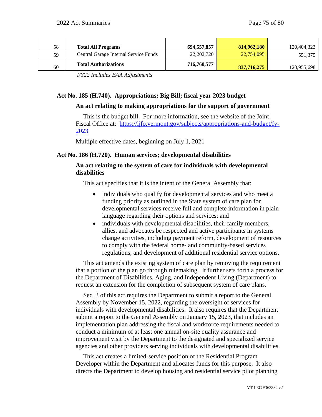| 58 | <b>Total All Programs</b>             | 694.557.857  | 814,962,180 | 120,404,323 |
|----|---------------------------------------|--------------|-------------|-------------|
| 59 | Central Garage Internal Service Funds | 22, 202, 720 | 22,754,095  | 551,375     |
| 60 | <b>Total Authorizations</b>           | 716,760,577  | 837,716,275 | 120,955,698 |

*FY22 Includes BAA Adjustments*

# **Act No. 185 (H.740). Appropriations; Big Bill; fiscal year 2023 budget**

# **An act relating to making appropriations for the support of government**

This is the budget bill. For more information, see the website of the Joint Fiscal Office at: [https://ljfo.vermont.gov/subjects/appropriations-and-budget/fy-](https://ljfo.vermont.gov/subjects/appropriations-and-budget/fy-2023)[2023](https://ljfo.vermont.gov/subjects/appropriations-and-budget/fy-2023)

Multiple effective dates, beginning on July 1, 2021

# **Act No. 186 (H.720). Human services; developmental disabilities**

## **An act relating to the system of care for individuals with developmental disabilities**

This act specifies that it is the intent of the General Assembly that:

- individuals who qualify for developmental services and who meet a funding priority as outlined in the State system of care plan for developmental services receive full and complete information in plain language regarding their options and services; and
- individuals with developmental disabilities, their family members, allies, and advocates be respected and active participants in systems change activities, including payment reform, development of resources to comply with the federal home- and community-based services regulations, and development of additional residential service options.

This act amends the existing system of care plan by removing the requirement that a portion of the plan go through rulemaking. It further sets forth a process for the Department of Disabilities, Aging, and Independent Living (Department) to request an extension for the completion of subsequent system of care plans.

Sec. 3 of this act requires the Department to submit a report to the General Assembly by November 15, 2022, regarding the oversight of services for individuals with developmental disabilities. It also requires that the Department submit a report to the General Assembly on January 15, 2023, that includes an implementation plan addressing the fiscal and workforce requirements needed to conduct a minimum of at least one annual on-site quality assurance and improvement visit by the Department to the designated and specialized service agencies and other providers serving individuals with developmental disabilities.

This act creates a limited-service position of the Residential Program Developer within the Department and allocates funds for this purpose. It also directs the Department to develop housing and residential service pilot planning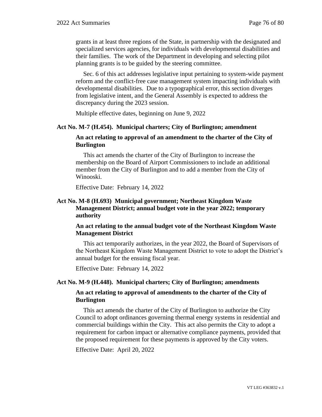grants in at least three regions of the State, in partnership with the designated and specialized services agencies, for individuals with developmental disabilities and their families. The work of the Department in developing and selecting pilot planning grants is to be guided by the steering committee.

Sec. 6 of this act addresses legislative input pertaining to system-wide payment reform and the conflict-free case management system impacting individuals with developmental disabilities. Due to a typographical error, this section diverges from legislative intent, and the General Assembly is expected to address the discrepancy during the 2023 session.

Multiple effective dates, beginning on June 9, 2022

#### **Act No. M-7 (H.454). Municipal charters; City of Burlington; amendment**

### **An act relating to approval of an amendment to the charter of the City of Burlington**

This act amends the charter of the City of Burlington to increase the membership on the Board of Airport Commissioners to include an additional member from the City of Burlington and to add a member from the City of Winooski.

Effective Date: February 14, 2022

## **Act No. M-8 (H.693) Municipal government; Northeast Kingdom Waste Management District; annual budget vote in the year 2022; temporary authority**

## **An act relating to the annual budget vote of the Northeast Kingdom Waste Management District**

This act temporarily authorizes, in the year 2022, the Board of Supervisors of the Northeast Kingdom Waste Management District to vote to adopt the District's annual budget for the ensuing fiscal year.

Effective Date: February 14, 2022

#### **Act No. M-9 (H.448). Municipal charters; City of Burlington; amendments**

## **An act relating to approval of amendments to the charter of the City of Burlington**

This act amends the charter of the City of Burlington to authorize the City Council to adopt ordinances governing thermal energy systems in residential and commercial buildings within the City. This act also permits the City to adopt a requirement for carbon impact or alternative compliance payments, provided that the proposed requirement for these payments is approved by the City voters.

Effective Date: April 20, 2022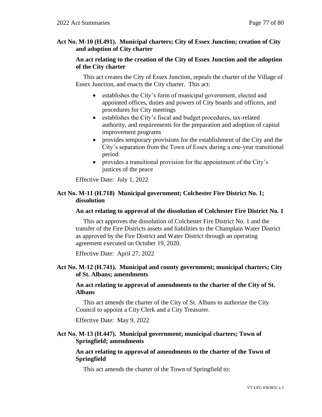## **Act No. M-10 (H.491). Municipal charters; City of Essex Junction; creation of City and adoption of City charter**

#### **An act relating to the creation of the City of Essex Junction and the adoption of the City charter**

This act creates the City of Essex Junction, repeals the charter of the Village of Essex Junction, and enacts the City charter. This act:

- establishes the City's form of municipal government, elected and appointed offices, duties and powers of City boards and officers, and procedures for City meetings
- establishes the City's fiscal and budget procedures, tax-related authority, and requirements for the preparation and adoption of capital improvement programs
- provides temporary provisions for the establishment of the City and the City's separation from the Town of Essex during a one-year transitional period
- provides a transitional provision for the appointment of the City's justices of the peace

Effective Date: July 1, 2022

#### **Act No. M-11 (H.718) Municipal government; Colchester Fire District No. 1; dissolution**

#### **An act relating to approval of the dissolution of Colchester Fire District No. 1**

This act approves the dissolution of Colchester Fire District No. 1 and the transfer of the Fire Districts assets and liabilities to the Champlain Water District as approved by the Fire District and Water District through an operating agreement executed on October 19, 2020.

Effective Date: April 27, 2022

## **Act No. M-12 (H.741). Municipal and county government; municipal charters; City of St. Albans; amendments**

#### **An act relating to approval of amendments to the charter of the City of St. Albans**

This act amends the charter of the City of St. Albans to authorize the City Council to appoint a City Clerk and a City Treasurer.

Effective Date: May 9, 2022

### **Act No. M-13 (H.447). Municipal government; municipal charters; Town of Springfield; amendments**

**An act relating to approval of amendments to the charter of the Town of Springfield**

This act amends the charter of the Town of Springfield to: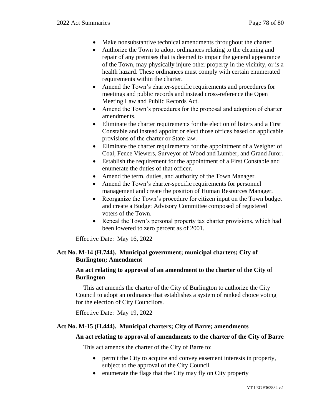- Make nonsubstantive technical amendments throughout the charter.
- Authorize the Town to adopt ordinances relating to the cleaning and repair of any premises that is deemed to impair the general appearance of the Town, may physically injure other property in the vicinity, or is a health hazard. These ordinances must comply with certain enumerated requirements within the charter.
- Amend the Town's charter-specific requirements and procedures for meetings and public records and instead cross-reference the Open Meeting Law and Public Records Act.
- Amend the Town's procedures for the proposal and adoption of charter amendments.
- Eliminate the charter requirements for the election of listers and a First Constable and instead appoint or elect those offices based on applicable provisions of the charter or State law.
- Eliminate the charter requirements for the appointment of a Weigher of Coal, Fence Viewers, Surveyor of Wood and Lumber, and Grand Juror.
- Establish the requirement for the appointment of a First Constable and enumerate the duties of that officer.
- Amend the term, duties, and authority of the Town Manager.
- Amend the Town's charter-specific requirements for personnel management and create the position of Human Resources Manager.
- Reorganize the Town's procedure for citizen input on the Town budget and create a Budget Advisory Committee composed of registered voters of the Town.
- Repeal the Town's personal property tax charter provisions, which had been lowered to zero percent as of 2001.

Effective Date: May 16, 2022

## **Act No. M-14 (H.744). Municipal government; municipal charters; City of Burlington; Amendment**

## **An act relating to approval of an amendment to the charter of the City of Burlington**

This act amends the charter of the City of Burlington to authorize the City Council to adopt an ordinance that establishes a system of ranked choice voting for the election of City Councilors.

Effective Date: May 19, 2022

## **Act No. M-15 (H.444). Municipal charters; City of Barre; amendments**

#### **An act relating to approval of amendments to the charter of the City of Barre**

This act amends the charter of the City of Barre to:

- permit the City to acquire and convey easement interests in property, subject to the approval of the City Council
- enumerate the flags that the City may fly on City property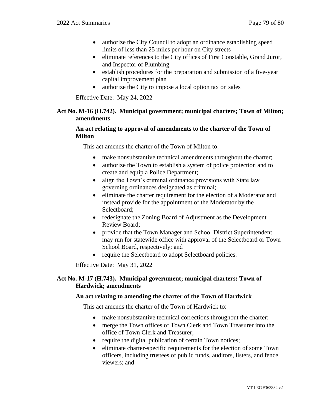- authorize the City Council to adopt an ordinance establishing speed limits of less than 25 miles per hour on City streets
- eliminate references to the City offices of First Constable, Grand Juror, and Inspector of Plumbing
- establish procedures for the preparation and submission of a five-year capital improvement plan
- authorize the City to impose a local option tax on sales

Effective Date: May 24, 2022

#### **Act No. M-16 (H.742). Municipal government; municipal charters; Town of Milton; amendments**

#### **An act relating to approval of amendments to the charter of the Town of Milton**

This act amends the charter of the Town of Milton to:

- make nonsubstantive technical amendments throughout the charter;
- authorize the Town to establish a system of police protection and to create and equip a Police Department;
- align the Town's criminal ordinance provisions with State law governing ordinances designated as criminal;
- eliminate the charter requirement for the election of a Moderator and instead provide for the appointment of the Moderator by the Selectboard;
- redesignate the Zoning Board of Adjustment as the Development Review Board;
- provide that the Town Manager and School District Superintendent may run for statewide office with approval of the Selectboard or Town School Board, respectively; and
- require the Selectboard to adopt Selectboard policies.

Effective Date: May 31, 2022

#### **Act No. M-17 (H.743). Municipal government; municipal charters; Town of Hardwick; amendments**

#### **An act relating to amending the charter of the Town of Hardwick**

This act amends the charter of the Town of Hardwick to:

- make nonsubstantive technical corrections throughout the charter;
- merge the Town offices of Town Clerk and Town Treasurer into the office of Town Clerk and Treasurer;
- require the digital publication of certain Town notices;
- eliminate charter-specific requirements for the election of some Town officers, including trustees of public funds, auditors, listers, and fence viewers; and